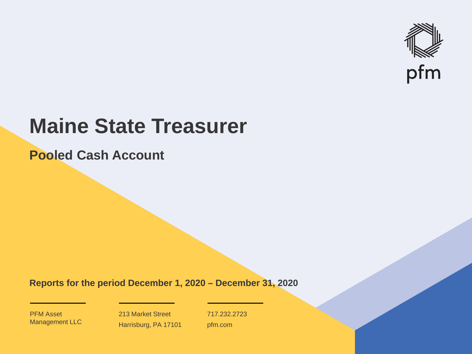

# **Maine State Treasurer**

**Pooled Cash Account**

**Reports for the period December 1, 2020 – December 31, 2020**

PFM Asset Management LLC

213 Market Street Harrisburg, PA 17101 717.232.2723 pfm.com

 $\mathcal{P}_\text{max}$  and  $\mathcal{P}_\text{max}$  is the probability of  $\mathcal{P}_\text{max}$  and  $\mathcal{P}_\text{max}$  and  $\mathcal{P}_\text{max}$  and  $\mathcal{P}_\text{max}$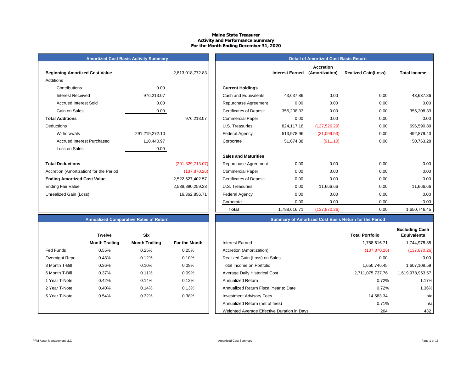## **Maine State Treasurer Activity and Performance Summary For the Month Ending December 31, 2020**

| <b>Amortized Cost Basis Activity Summary</b> |
|----------------------------------------------|
|----------------------------------------------|

| <b>Beginning Amortized Cost Value</b>   |                | 2,813,018,772.83   | <b>Interest Earned</b>                       |
|-----------------------------------------|----------------|--------------------|----------------------------------------------|
| Additions                               |                |                    |                                              |
| Contributions                           | 0.00           |                    | <b>Current Holdings</b>                      |
| <b>Interest Received</b>                | 976,213.07     |                    | Cash and Equivalents<br>43,637.86            |
| <b>Accrued Interest Sold</b>            | 0.00           |                    | 0.00<br>Repurchase Agreement                 |
| Gain on Sales                           | 0.00           |                    | <b>Certificates of Deposit</b><br>355,208.33 |
| <b>Total Additions</b>                  |                | 976,213.07         | 0.00<br><b>Commercial Paper</b>              |
| Deductions                              |                |                    | U.S. Treasuries<br>824,117.18                |
| Withdrawals                             | 291,219,272.10 |                    | Federal Agency<br>513,978.96                 |
| <b>Accrued Interest Purchased</b>       | 110,440.97     |                    | Corporate<br>51,674.38                       |
| Loss on Sales                           | 0.00           |                    |                                              |
|                                         |                |                    | <b>Sales and Maturities</b>                  |
| <b>Total Deductions</b>                 |                | (291, 329, 713.07) | 0.00<br>Repurchase Agreement                 |
| Accretion (Amortization) for the Period |                | (137, 870.26)      | <b>Commercial Paper</b><br>0.00              |
| <b>Ending Amortized Cost Value</b>      |                | 2,522,527,402.57   | <b>Certificates of Deposit</b><br>0.00       |
| Ending Fair Value                       |                | 2,538,890,259.28   | 0.00<br>U.S. Treasuries                      |
| Unrealized Gain (Loss)                  |                | 16,362,856.71      | 0.00<br>Federal Agency                       |
|                                         |                |                    | $\sim$ $\sim$                                |

|                                         | <b>Amortized Cost Basis Activity Summary</b> |                    |                                |                        | <b>Detail of Amortized Cost Basis Return</b> |                            |                     |
|-----------------------------------------|----------------------------------------------|--------------------|--------------------------------|------------------------|----------------------------------------------|----------------------------|---------------------|
| <b>Beginning Amortized Cost Value</b>   |                                              | 2,813,018,772.83   |                                | <b>Interest Earned</b> | <b>Accretion</b><br>(Amortization)           | <b>Realized Gain(Loss)</b> | <b>Total Income</b> |
| Additions                               |                                              |                    |                                |                        |                                              |                            |                     |
| Contributions                           | 0.00                                         |                    | <b>Current Holdings</b>        |                        |                                              |                            |                     |
| <b>Interest Received</b>                | 976,213.07                                   |                    | Cash and Equivalents           | 43,637.86              | 0.00                                         | 0.00                       | 43,637.86           |
| <b>Accrued Interest Sold</b>            | 0.00                                         |                    | Repurchase Agreement           | 0.00                   | 0.00                                         | 0.00                       | 0.00                |
| Gain on Sales                           | 0.00                                         |                    | <b>Certificates of Deposit</b> | 355,208.33             | 0.00                                         | 0.00                       | 355,208.33          |
| <b>Total Additions</b>                  |                                              | 976,213.07         | <b>Commercial Paper</b>        | 0.00                   | 0.00                                         | 0.00                       | 0.00                |
| Deductions                              |                                              |                    | U.S. Treasuries                | 824,117.18             | (127, 526.29)                                | 0.00                       | 696,590.89          |
| Withdrawals                             | 291,219,272.10                               |                    | <b>Federal Agency</b>          | 513,978.96             | (21,099.53)                                  | 0.00                       | 492,879.43          |
| <b>Accrued Interest Purchased</b>       | 110,440.97                                   |                    | Corporate                      | 51,674.38              | (911.10)                                     | 0.00                       | 50,763.28           |
| Loss on Sales                           | 0.00                                         |                    |                                |                        |                                              |                            |                     |
|                                         |                                              |                    | <b>Sales and Maturities</b>    |                        |                                              |                            |                     |
| <b>Total Deductions</b>                 |                                              | (291, 329, 713.07) | Repurchase Agreement           | 0.00                   | 0.00                                         | 0.00                       | 0.00                |
| Accretion (Amortization) for the Period |                                              | (137, 870.26)      | <b>Commercial Paper</b>        | 0.00                   | 0.00                                         | 0.00                       | 0.00                |
| <b>Ending Amortized Cost Value</b>      |                                              | 2,522,527,402.57   | <b>Certificates of Deposit</b> | 0.00                   | 0.00                                         | 0.00                       | 0.00                |
| Ending Fair Value                       |                                              | 2,538,890,259.28   | U.S. Treasuries                | 0.00                   | 11,666.66                                    | 0.00                       | 11,666.66           |
| Unrealized Gain (Loss)                  |                                              | 16,362,856.71      | <b>Federal Agency</b>          | 0.00                   | 0.00                                         | 0.00                       | 0.00                |
|                                         |                                              |                    | Corporate                      | 0.00                   | 0.00                                         | 0.00                       | 0.00                |
|                                         |                                              |                    | <b>Total</b>                   | 1,788,616.71           | (137, 870.26)                                | 0.00                       | 1,650,746.45        |

# **Annualized Comparative Rates of Return Summary of Amortized Cost Basis Return for the Period**

|                | <b>Twelve</b>         | <b>Six</b>            |               |
|----------------|-----------------------|-----------------------|---------------|
|                | <b>Month Trailing</b> | <b>Month Trailing</b> | For the Month |
| Fed Funds      | 0.55%                 | 0.25%                 | 0.25%         |
| Overnight Repo | 0.43%                 | 0.12%                 | 0.10%         |
| 3 Month T-Bill | 0.36%                 | 0.10%                 | 0.08%         |
| 6 Month T-Bill | 0.37%                 | 0.11%                 | 0.09%         |
| 1 Year T-Note  | 0.42%                 | 0.14%                 | 0.12%         |
| 2 Year T-Note  | 0.40%                 | 0.14%                 | 0.13%         |
| 5 Year T-Note  | 0.54%                 | 0.32%                 | 0.38%         |
|                |                       |                       |               |
|                |                       |                       |               |

|                | <b>Twelve</b>         | <b>Six</b>            |               |                                             | <b>Total Portfolio</b> | <b>Excluding Cash</b><br><b>Equivalents</b> |
|----------------|-----------------------|-----------------------|---------------|---------------------------------------------|------------------------|---------------------------------------------|
|                | <b>Month Trailing</b> | <b>Month Trailing</b> | For the Month | <b>Interest Earned</b>                      | 1,788,616.71           | 1,744,978.85                                |
| Fed Funds      | 0.55%                 | 0.25%                 | 0.25%         | Accretion (Amortization)                    | (137, 870.26)          | (137, 870.26)                               |
| Overnight Repo | 0.43%                 | 0.12%                 | 0.10%         | Realized Gain (Loss) on Sales               | 0.00                   | 0.00                                        |
| 3 Month T-Bill | 0.36%                 | 0.10%                 | 0.08%         | Total Income on Portfolio                   | 1.650.746.45           | 1,607,108.59                                |
| 6 Month T-Bill | 0.37%                 | 0.11%                 | 0.09%         | Average Daily Historical Cost               | 2,711,075,737.76       | 1,619,978,963.57                            |
| 1 Year T-Note  | 0.42%                 | 0.14%                 | 0.12%         | <b>Annualized Return</b>                    | 0.72%                  | 1.17%                                       |
| 2 Year T-Note  | 0.40%                 | 0.14%                 | 0.13%         | Annualized Return Fiscal Year to Date       | 0.72%                  | 1.36%                                       |
| 5 Year T-Note  | 0.54%                 | 0.32%                 | 0.38%         | <b>Investment Advisory Fees</b>             | 14,583.34              | n/a                                         |
|                |                       |                       |               | Annualized Return (net of fees)             | 0.71%                  | n/a                                         |
|                |                       |                       |               | Weighted Average Effective Duration in Days | 264                    | 432                                         |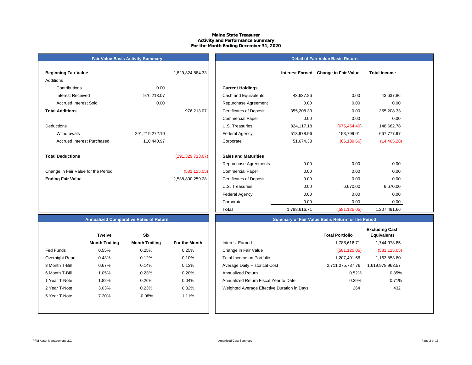#### **Maine State Treasurer Activity and Performance Summary For the Month Ending December 31, 2020**

# **Fair Value Basis Activity Summary**

## **Detail of Fair Value Basis Return**

| <b>Beginning Fair Value</b>         |                | 2,829,824,884.33   |                                |
|-------------------------------------|----------------|--------------------|--------------------------------|
| Additions                           |                |                    |                                |
| Contributions                       | 0.00           |                    | <b>Current Holdings</b>        |
| Interest Received                   | 976,213.07     |                    | Cash and Equivalents           |
| Accrued Interest Sold               | 0.00           |                    | Repurchase Agreeme             |
| <b>Total Additions</b>              |                | 976,213.07         | <b>Certificates of Deposit</b> |
|                                     |                |                    | <b>Commercial Paper</b>        |
| Deductions                          |                |                    | U.S. Treasuries                |
| Withdrawals                         | 291,219,272.10 |                    | <b>Federal Agency</b>          |
| Accrued Interest Purchased          | 110,440.97     |                    | Corporate                      |
| <b>Total Deductions</b>             |                | (291, 329, 713.07) | <b>Sales and Maturities</b>    |
|                                     |                |                    | Repurchase Agreeme             |
| Change in Fair Value for the Period |                | (581, 125.05)      | <b>Commercial Paper</b>        |
| <b>Ending Fair Value</b>            |                | 2,538,890,259.28   | <b>Certificates of Deposit</b> |

| <b>Beginning Fair Value</b>         |                | 2,829,824,884.33   |                                | <b>Interest Earned</b> | <b>Change in Fair Value</b> | <b>Total Income</b> |  |
|-------------------------------------|----------------|--------------------|--------------------------------|------------------------|-----------------------------|---------------------|--|
| Additions                           |                |                    |                                |                        |                             |                     |  |
| Contributions                       | 0.00           |                    | <b>Current Holdings</b>        |                        |                             |                     |  |
| <b>Interest Received</b>            | 976,213.07     |                    | Cash and Equivalents           | 43,637.86              | 0.00                        | 43,637.86           |  |
| <b>Accrued Interest Sold</b>        | 0.00           |                    | Repurchase Agreement           | 0.00                   | 0.00                        | 0.00                |  |
| <b>Total Additions</b>              |                | 976,213.07         | <b>Certificates of Deposit</b> | 355,208.33             | 0.00                        | 355,208.33          |  |
|                                     |                |                    | <b>Commercial Paper</b>        | 0.00                   | 0.00                        | 0.00                |  |
| Deductions                          |                |                    | U.S. Treasuries                | 824,117.18             | (675, 454.40)               | 148,662.78          |  |
| Withdrawals                         | 291,219,272.10 |                    | <b>Federal Agency</b>          | 513,978.96             | 153,799.01                  | 667,777.97          |  |
| <b>Accrued Interest Purchased</b>   | 110,440.97     |                    | Corporate                      | 51,674.38              | (66, 139.66)                | (14, 465.28)        |  |
| <b>Total Deductions</b>             |                | (291, 329, 713.07) | <b>Sales and Maturities</b>    |                        |                             |                     |  |
|                                     |                |                    | Repurchase Agreements          | 0.00                   | 0.00                        | 0.00                |  |
| Change in Fair Value for the Period |                | (581, 125.05)      | <b>Commercial Paper</b>        | 0.00                   | 0.00                        | 0.00                |  |
| <b>Ending Fair Value</b>            |                | 2,538,890,259.28   | <b>Certificates of Deposit</b> | 0.00                   | 0.00                        | 0.00                |  |
|                                     |                |                    | U.S. Treasuries                | 0.00                   | 6,670.00                    | 6,670.00            |  |
|                                     |                |                    | Federal Agency                 | 0.00                   | 0.00                        | 0.00                |  |
|                                     |                |                    | Corporate                      | 0.00                   | 0.00                        | 0.00                |  |
|                                     |                |                    | <b>Total</b>                   | 1,788,616.71           | (581, 125.05)               | ,207,491.66         |  |

# **Summary of Fair Value Basis Return for the Period**

# **Annualized Comparative Rates of Return**

|                | <b>Twelve</b>         | <b>Six</b>            |               |
|----------------|-----------------------|-----------------------|---------------|
|                | <b>Month Trailing</b> | <b>Month Trailing</b> | For the Month |
| Fed Funds      | 0.55%                 | 0.25%                 | 0.25%         |
| Overnight Repo | 0.43%                 | 0.12%                 | 0.10%         |
| 3 Month T-Bill | 0.67%                 | 0.14%                 | 0.13%         |
| 6 Month T-Bill | 1.05%                 | 0.23%                 | 0.20%         |
| 1 Year T-Note  | 1.82%                 | 0.26%                 | 0.04%         |
| 2 Year T-Note  | 3.03%                 | 0.23%                 | 0.82%         |
| 5 Year T-Note  | 7.20%                 | $-0.08%$              | 1.11%         |
|                |                       |                       |               |
|                |                       |                       |               |

|                | <b>Twelve</b>         | <b>Six</b>            |               |                                             | <b>Total Portfolio</b> | <b>Excluding Cash</b><br><b>Equivalents</b> |
|----------------|-----------------------|-----------------------|---------------|---------------------------------------------|------------------------|---------------------------------------------|
|                | <b>Month Trailing</b> | <b>Month Trailing</b> | For the Month | <b>Interest Earned</b>                      | 1,788,616.71           | 1,744,978.85                                |
| Fed Funds      | 0.55%                 | 0.25%                 | 0.25%         | Change in Fair Value                        | (581, 125.05)          | (581, 125.05)                               |
| Overnight Repo | 0.43%                 | 0.12%                 | 0.10%         | Total Income on Portfolio                   | 1,207,491.66           | 1,163,853.80                                |
| 3 Month T-Bill | 0.67%                 | 0.14%                 | 0.13%         | Average Daily Historical Cost               | 2,711,075,737.76       | 1,619,978,963.57                            |
| 6 Month T-Bill | 1.05%                 | 0.23%                 | 0.20%         | Annualized Return                           | 0.52%                  | 0.85%                                       |
| 1 Year T-Note  | 1.82%                 | 0.26%                 | 0.04%         | Annualized Return Fiscal Year to Date       | 0.39%                  | 0.71%                                       |
| 2 Year T-Note  | 3.03%                 | 0.23%                 | 0.82%         | Weighted Average Effective Duration in Days | 264                    | 432                                         |
| 5 Year T-Note  | 7.20%                 | $-0.08%$              | 1.11%         |                                             |                        |                                             |
|                |                       |                       |               |                                             |                        |                                             |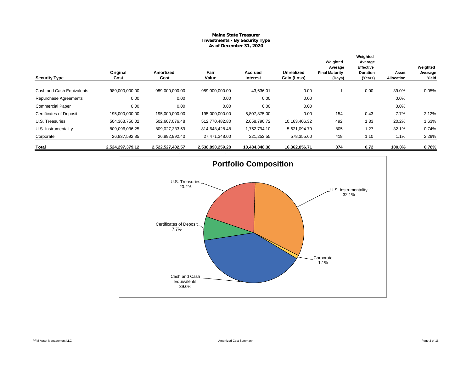#### **Maine State Treasurer Investments - By Security Type As of December 31, 2020**

| <b>Security Type</b>           | Original<br>Cost | Amortized<br>Cost | Fair<br>Value    | Accrued<br>Interest | <b>Unrealized</b><br>Gain (Loss) | Weighted<br>Average<br><b>Final Maturity</b><br>(Days) | Weighted<br>Average<br><b>Effective</b><br><b>Duration</b><br>(Years) | Asset<br>Allocation | Weighted<br>Average<br>Yield |
|--------------------------------|------------------|-------------------|------------------|---------------------|----------------------------------|--------------------------------------------------------|-----------------------------------------------------------------------|---------------------|------------------------------|
|                                |                  |                   |                  |                     |                                  |                                                        |                                                                       |                     |                              |
| Cash and Cash Equivalents      | 989,000,000.00   | 989,000,000.00    | 989,000,000.00   | 43,636.01           | 0.00                             |                                                        | 0.00                                                                  | 39.0%               | 0.05%                        |
| Repurchase Agreements          | 0.00             | 0.00              | 0.00             | 0.00                | 0.00                             |                                                        |                                                                       | 0.0%                |                              |
| <b>Commercial Paper</b>        | 0.00             | 0.00              | 0.00             | 0.00                | 0.00                             |                                                        |                                                                       | 0.0%                |                              |
| <b>Certificates of Deposit</b> | 195,000,000.00   | 195,000,000.00    | 195,000,000.00   | 5,807,875.00        | 0.00                             | 154                                                    | 0.43                                                                  | 7.7%                | 2.12%                        |
| U.S. Treasuries                | 504,363,750.02   | 502,607,076.48    | 512,770,482.80   | 2,658,790.72        | 10,163,406.32                    | 492                                                    | 1.33                                                                  | 20.2%               | 1.63%                        |
| U.S. Instrumentality           | 809,096,036.25   | 809,027,333.69    | 814,648,428.48   | 1,752,794.10        | 5,621,094.79                     | 805                                                    | 1.27                                                                  | 32.1%               | 0.74%                        |
| Corporate                      | 26,837,592.85    | 26,892,992.40     | 27,471,348.00    | 221,252.55          | 578,355.60                       | 418                                                    | 1.10                                                                  | 1.1%                | 2.29%                        |
| Total                          | 2,524,297,379.12 | 2,522,527,402.57  | 2,538,890,259.28 | 10,484,348.38       | 16,362,856.71                    | 374                                                    | 0.72                                                                  | 100.0%              | 0.78%                        |

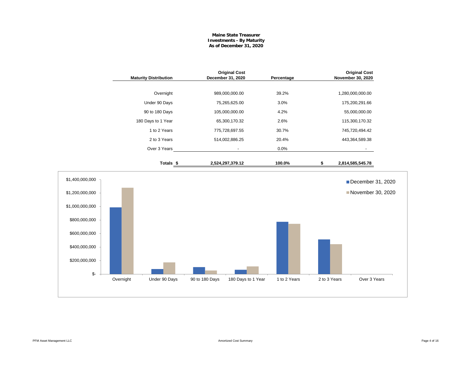## **Maine State Treasurer Investments - By Maturity As of December 31, 2020**

|                                                                                                                                  | <b>Maturity Distribution</b> | <b>Original Cost</b><br>December 31, 2020 | Percentage                         |              | <b>Original Cost</b><br>November 30, 2020 |
|----------------------------------------------------------------------------------------------------------------------------------|------------------------------|-------------------------------------------|------------------------------------|--------------|-------------------------------------------|
|                                                                                                                                  | Overnight                    | 989,000,000.00                            | 39.2%                              |              | 1,280,000,000.00                          |
|                                                                                                                                  | Under 90 Days                | 75,265,625.00                             | 3.0%                               |              | 175,200,291.66                            |
|                                                                                                                                  | 90 to 180 Days               | 105,000,000.00                            | 4.2%                               |              | 55,000,000.00                             |
|                                                                                                                                  | 180 Days to 1 Year           | 65,300,170.32                             | 2.6%                               |              | 115,300,170.32                            |
|                                                                                                                                  | 1 to 2 Years                 | 775,728,697.55                            | 30.7%                              |              | 745,720,494.42                            |
|                                                                                                                                  | 2 to 3 Years                 | 514,002,886.25                            | 20.4%                              |              | 443,364,589.38                            |
|                                                                                                                                  | Over 3 Years                 | $\blacksquare$                            | 0.0%                               |              |                                           |
|                                                                                                                                  | Totals <sub>\$</sub>         | 2,524,297,379.12                          | 100.0%                             | \$           | 2,814,585,545.78                          |
| \$1,400,000,000<br>\$1,200,000,000<br>\$1,000,000,000<br>\$800,000,000<br>\$600,000,000<br>\$400,000,000<br>\$200,000,000<br>\$- |                              |                                           |                                    |              | December 31, 2020<br>November 30, 2020    |
|                                                                                                                                  | Overnight<br>Under 90 Days   | 90 to 180 Days                            | 1 to 2 Years<br>180 Days to 1 Year | 2 to 3 Years | Over 3 Years                              |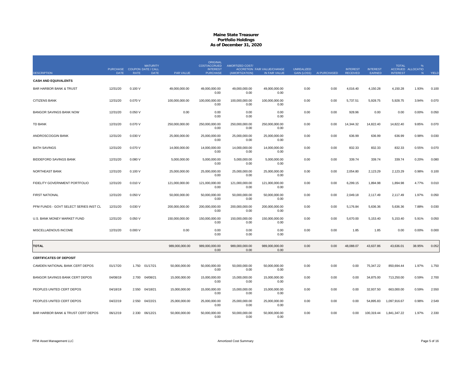|                                        |                                            |             | <b>MATURITY</b> |                | <b>ORIGINAL</b><br><b>COST/ACCRUED</b> | AMORTIZED COST/        |                                              |                                  |              |                                    |                           | <b>TOTAL</b>    | $\%$                   |       |
|----------------------------------------|--------------------------------------------|-------------|-----------------|----------------|----------------------------------------|------------------------|----------------------------------------------|----------------------------------|--------------|------------------------------------|---------------------------|-----------------|------------------------|-------|
| <b>DESCRIPTION</b>                     | PURCHASE COUPON DATE / CALL<br><b>DATE</b> | <b>RATE</b> | <b>DATE</b>     | PAR VALUE      | <b>INTEREST</b><br><b>PURCHASE</b>     | (AMORTIZATION)         | ACCRETION FAIR VALUE/CHANGE<br>IN FAIR VALUE | <b>UNREALIZED</b><br>GAIN (LOSS) | AI PURCHASED | <b>INTEREST</b><br><b>RECEIVED</b> | <b>INTEREST</b><br>EARNED | <b>INTEREST</b> | ACCRUED ALLOCATIO<br>N | YIELD |
| <b>CASH AND EQUIVALENTS</b>            |                                            |             |                 |                |                                        |                        |                                              |                                  |              |                                    |                           |                 |                        |       |
| <b>BAR HARBOR BANK &amp; TRUST</b>     | 12/31/20                                   | 0.100V      |                 | 49,000,000.00  | 49,000,000.00<br>0.00                  | 49,000,000.00<br>0.00  | 49,000,000.00<br>0.00                        | 0.00                             | 0.00         | 4,016.40                           | 4,150.28                  | 4,150.28        | 1.93%                  | 0.100 |
| <b>CITIZENS BANK</b>                   | 12/31/20                                   | 0.070 V     |                 | 100,000,000.00 | 100,000,000.00<br>0.00                 | 100,000,000.00<br>0.00 | 100,000,000.00<br>0.00                       | 0.00                             | 0.00         | 5,737.51                           | 5,928.75                  | 5,928.75        | 3.94%                  | 0.070 |
| <b>BANGOR SAVINGS BANK NOW</b>         | 12/31/20                                   | 0.050V      |                 | 0.00           | 0.00<br>0.00                           | 0.00<br>0.00           | 0.00<br>0.00                                 | 0.00                             | 0.00         | 928.96                             | 0.00                      | 0.00            | 0.00%                  | 0.050 |
| <b>TD BANK</b>                         | 12/31/20                                   | 0.070 V     |                 | 250,000,000.00 | 250,000,000.00<br>0.00                 | 250,000,000.00<br>0.00 | 250,000,000.00<br>0.00                       | 0.00                             | 0.00         | 14,344.32                          | 14,822.40                 | 14,822.40       | 9.85%                  | 0.070 |
| ANDROSCOGGIN BANK                      | 12/31/20                                   | 0.030 V     |                 | 25,000,000.00  | 25,000,000.00<br>0.00                  | 25,000,000.00<br>0.00  | 25,000,000.00<br>0.00                        | 0.00                             | 0.00         | 636.99                             | 636.99                    | 636.99          | 0.98%                  | 0.030 |
| <b>BATH SAVINGS</b>                    | 12/31/20                                   | 0.070 V     |                 | 14,000,000.00  | 14,000,000.00<br>0.00                  | 14,000,000.00<br>0.00  | 14,000,000.00<br>0.00                        | 0.00                             | 0.00         | 832.33                             | 832.33                    | 832.33          | 0.55%                  | 0.070 |
| <b>BIDDEFORD SAVINGS BANK</b>          | 12/31/20                                   | 0.080V      |                 | 5,000,000.00   | 5,000,000.00<br>0.00                   | 5,000,000.00<br>0.00   | 5,000,000.00<br>0.00                         | 0.00                             | 0.00         | 339.74                             | 339.74                    | 339.74          | 0.20%                  | 0.080 |
| NORTHEAST BANK                         | 12/31/20                                   | 0.100V      |                 | 25,000,000.00  | 25,000,000.00<br>0.00                  | 25,000,000.00<br>0.00  | 25,000,000.00<br>0.00                        | 0.00                             | 0.00         | 2,054.80                           | 2,123.29                  | 2,123.29        | 0.98%                  | 0.100 |
| FIDELITY GOVERNMENT PORTFOLIO          | 12/31/20                                   | 0.010 V     |                 | 121,000,000.00 | 121,000,000.00<br>0.00                 | 121,000,000.00<br>0.00 | 121,000,000.00<br>0.00                       | 0.00                             | 0.00         | 6,299.15                           | 1,894.98                  | 1,894.98        | 4.77%                  | 0.010 |
| <b>FIRST NATIONAL</b>                  | 12/31/20                                   | 0.050V      |                 | 50,000,000.00  | 50,000,000.00<br>0.00                  | 50,000,000.00<br>0.00  | 50,000,000.00<br>0.00                        | 0.00                             | 0.00         | 2,049.18                           | 2,117.49                  | 2,117.49        | 1.97%                  | 0.050 |
| PFM FUNDS - GOVT SELECT SERIES INST CL | 12/31/20                                   | 0.030 V     |                 | 200,000,000.00 | 200,000,000.00<br>0.00                 | 200,000,000.00<br>0.00 | 200,000,000.00<br>0.00                       | 0.00                             | 0.00         | 5,176.84                           | 5,636.36                  | 5,636.36        | 7.88%                  | 0.030 |
| U.S. BANK MONEY MARKET FUND            | 12/31/20                                   | 0.050V      |                 | 150,000,000.00 | 150,000,000.00<br>0.00                 | 150,000,000.00<br>0.00 | 150,000,000.00<br>0.00                       | 0.00                             | 0.00         | 5,670.00                           | 5,153.40                  | 5,153.40        | 5.91%                  | 0.050 |
| MISCELLAENOUS INCOME                   | 12/31/20                                   | 0.000V      |                 | 0.00           | 0.00<br>0.00                           | 0.00<br>0.00           | 0.00<br>0.00                                 | 0.00                             | 0.00         | 1.85                               | 1.85                      | 0.00            | 0.00%                  | 0.000 |
| <b>TOTAL</b>                           |                                            |             |                 | 989,000,000.00 | 989,000,000.00<br>0.00                 | 989,000,000.00<br>0.00 | 989,000,000.00<br>0.00                       | 0.00                             | 0.00         | 48,088.07                          | 43,637.86                 | 43,636.01       | 38.95%                 | 0.052 |
| <b>CERTIFICATES OF DEPOSIT</b>         |                                            |             |                 |                |                                        |                        |                                              |                                  |              |                                    |                           |                 |                        |       |
| CAMDEN NATIONAL BANK CERT DEPOS        | 01/17/20                                   | 1.750       | 01/17/21        | 50,000,000.00  | 50,000,000.00<br>0.00                  | 50,000,000.00<br>0.00  | 50,000,000.00<br>0.00                        | 0.00                             | 0.00         | 0.00                               | 75,347.22                 | 850,694.44      | 1.97%                  | 1.750 |
| BANGOR SAVINGS BANK CERT DEPOS         | 04/08/19                                   |             | 2.700 04/08/21  | 15,000,000.00  | 15,000,000.00<br>0.00                  | 15,000,000.00<br>0.00  | 15,000,000.00<br>0.00                        | 0.00                             | 0.00         | 0.00                               | 34,875.00                 | 713,250.00      | 0.59%                  | 2.700 |
| PEOPLES UNITED CERT DEPOS              | 04/18/19                                   | 2.550       | 04/18/21        | 15,000,000.00  | 15,000,000.00<br>0.00                  | 15,000,000.00<br>0.00  | 15,000,000.00<br>0.00                        | 0.00                             | 0.00         | 0.00                               | 32,937.50                 | 663,000.00      | 0.59%                  | 2.550 |
| PEOPLES UNITED CERT DEPOS              | 04/22/19                                   | 2.550       | 04/22/21        | 25,000,000.00  | 25,000,000.00<br>0.00                  | 25,000,000.00<br>0.00  | 25,000,000.00<br>0.00                        | 0.00                             | 0.00         | 0.00                               | 54,895.83                 | 1,097,916.67    | 0.98%                  | 2.549 |
| BAR HARBOR BANK & TRUST CERT DEPOS     | 06/12/19                                   | 2.330       | 06/12/21        | 50,000,000.00  | 50,000,000.00<br>0.00                  | 50,000,000.00<br>0.00  | 50,000,000.00<br>0.00                        | 0.00                             | 0.00         | 0.00                               | 100,319.44                | 1,841,347.22    | 1.97%                  | 2.330 |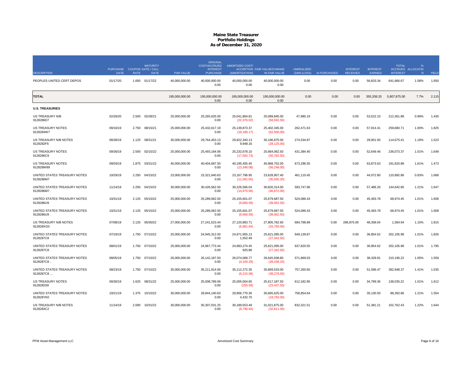|                                            |                                            |             | <b>MATURITY</b> |                  | <b>ORIGINAL</b><br><b>COST/ACCRUED</b> | AMORTIZED COST/                  |                                                     |                                         |              |                                    |                           | <b>TOTAL</b>    | %                      |              |
|--------------------------------------------|--------------------------------------------|-------------|-----------------|------------------|----------------------------------------|----------------------------------|-----------------------------------------------------|-----------------------------------------|--------------|------------------------------------|---------------------------|-----------------|------------------------|--------------|
| <b>DESCRIPTION</b>                         | PURCHASE COUPON DATE / CALL<br><b>DATE</b> | <b>RATE</b> | <b>DATE</b>     | <b>PAR VALUE</b> | <b>INTEREST</b><br><b>PURCHASE</b>     | (AMORTIZATION)                   | <b>ACCRETION FAIR VALUE/CHANGE</b><br>IN FAIR VALUE | <b>UNREALIZED</b><br><b>GAIN (LOSS)</b> | AI PURCHASED | <b>INTEREST</b><br><b>RECEIVED</b> | <b>INTEREST</b><br>EARNED | <b>INTEREST</b> | ACCRUED ALLOCATIO<br>N | <b>YIELD</b> |
| PEOPLES UNITED CERT DEPOS                  | 01/17/20                                   |             | 1.650 01/17/22  | 40,000,000.00    | 40,000,000.00<br>0.00                  | 40,000,000.00<br>0.00            | 40,000,000.00<br>0.00                               | 0.00                                    | 0.00         | 0.00                               | 56,833.34                 | 641,666.67      | 1.58%                  | 1.650        |
| <b>TOTAL</b>                               |                                            |             |                 | 195,000,000.00   | 195,000,000.00<br>0.00                 | 195,000,000.00<br>0.00           | 195,000,000.00<br>0.00                              | 0.00                                    | 0.00         | 0.00                               | 355,208.33                | 5,807,875.00    | 7.7%                   | 2.115        |
| <b>U.S. TREASURIES</b>                     |                                            |             |                 |                  |                                        |                                  |                                                     |                                         |              |                                    |                           |                 |                        |              |
| US TREASURY N/B<br>9128286D7               | 02/26/20                                   | 2.500       | 02/28/21        | 25,000,000.00    | 25,265,625.00<br>0.00                  | 25,041,864.81<br>(22, 376.02)    | 25,089,845.00<br>(58, 592.50)                       | 47,980.19                               | 0.00         | 0.00                               | 53,522.10                 | 212,361.88      | 0.99%                  | 1.435        |
| <b>US TREASURY NOTES</b><br>9128284W7      | 09/16/19                                   | 2.750       | 08/15/21        | 25,000,000.00    | 25,432,617.19<br>0.00                  | 25, 139, 873. 37<br>(19, 186.17) | 25,402,345.00<br>(62,500.00)                        | 262,471.63                              | 0.00         | 0.00                               | 57,914.41                 | 259,680.71      | 1.00%                  | 1.825        |
| US TREASURY N/B NOTES<br>9128282F6         | 08/28/19                                   | 1.125       | 08/31/21        | 30,000,000.00    | 29,764,453.13<br>0.00                  | 29,922,340.13<br>9,948.16        | 30,196,875.00<br>(28, 125.00)                       | 274,534.87                              | 0.00         | 0.00                               | 28,901.93                 | 114,675.41      | 1.19%                  | 1.523        |
| <b>US TREASURY NOTES</b><br>9128286C9      | 09/30/19                                   | 2.500       | 02/15/22        | 25,000,000.00    | 25.493.164.06<br>0.00                  | 25.232.678.10<br>(17,592.73)     | 25,664,062.50<br>(50, 782.50)                       | 431,384.40                              | 0.00         | 0.00                               | 52,649.46                 | 236,073.37      | 1.01%                  | 1.649        |
| <b>US TREASURY NOTES</b><br>912828W89      | 09/03/19                                   | 1.875       | 03/31/22        | 40.000.000.00    | 40.404.687.50<br>0.00                  | 40,195,455.45<br>(13,346.08)     | 40.868.752.00<br>(56, 248.00)                       | 673.296.55                              | 0.00         | 0.00                               | 63.873.63                 | 191.620.88      | 1.61%                  | 1.473        |
| UNITED STATES TREASURY NOTES<br>9128286M7  | 10/29/19                                   | 2.250       | 04/15/22        | 23,000,000.00    | 23,321,640.63<br>0.00                  | 23, 167, 796.95<br>(11,091.05)   | 23,628,907.40<br>(35,935.20)                        | 461,110.45                              | 0.00         | 0.00                               | 44,072.80                 | 110,892.86      | 0.93%                  | 1.668        |
| UNITED STATES TREASURY NOTES<br>9128286M7. | 11/14/19                                   | 2.250       | 04/15/22        | 30,000,000.00    | 30,426,562.50<br>0.00                  | 30,226,566.04<br>(14, 975.58)    | 30,820,314.00<br>(46, 872.00)                       | 593,747.96                              | 0.00         | 0.00                               | 57,486.26                 | 144,642.85      | 1.21%                  | 1.647        |
| UNITED STATES TREASURY NOTES<br>9128286U9  | 10/31/19                                   | 2.125       | 05/15/22        | 25.000.000.00    | 25.289.062.50<br>0.00                  | 25,155,601.07<br>(9,666.59)      | 25,679,687.50<br>(39,062.50)                        | 524.086.43                              | 0.00         | 0.00                               | 45,493.78                 | 68,974.45       | 1.01%                  | 1.658        |
| UNITED STATES TREASURY NOTES<br>9128286U9  | 10/31/19                                   |             | 2.125 05/15/22  | 25,000,000.00    | 25,289,062.50<br>0.00                  | 25,155,601.07<br>(9,666.59)      | 25,679,687.50<br>(39,062.50)                        | 524,086.43                              | 0.00         | 0.00                               | 45,493.78                 | 68,974.45       | 1.01%                  | 1.658        |
| US TREASURY N/B NOTES<br>912828XG0         | 07/08/19                                   | 2.125       | 06/30/22        | 27,000,000.00    | 27,241,523.44<br>0.00                  | 27,120,983.71<br>(6,881.64)      | 27,805,782.60<br>(33,750.00)                        | 684,798.89                              | 0.00         | 286,875.00                         | 48,358.04                 | 1,584.94        | 1.10%                  | 1.815        |
| UNITED STATES TREASURY NOTES<br>9128287C8  | 07/19/19                                   | 1.750       | 07/15/22        | 25,000,000.00    | 24,945,312.50<br>0.00                  | 24,971,955.13<br>1,552.49        | 25,621,095.00<br>(27, 342.50)                       | 649,139.87                              | 0.00         | 0.00                               | 36,854.62                 | 202,105.98      | 1.01%                  | 1.826        |
| UNITED STATES TREASURY NOTES<br>9128287C8  | 08/01/19                                   | 1.750       | 07/15/22        | 25,000,000.00    | 24,967,773.44<br>0.00                  | 24,983,274.45<br>925.88          | 25,621,095.00<br>(27, 342.50)                       | 637,820.55                              | 0.00         | 0.00                               | 36,854.62                 | 202,105.98      | 1.01%                  | 1.795        |
| UNITED STATES TREASURY NOTES<br>9128287C8  | 08/05/19                                   |             | 1.750 07/15/22  | 26,000,000.00    | 26, 142, 187.50<br>0.00                | 26,074,069.77<br>(4, 100.29)     | 26,645,938.80<br>(28, 436.20)                       | 571,869.03                              | 0.00         | 0.00                               | 38,328.81                 | 210,190.22      | 1.05%                  | 1.559        |
| UNITED STATES TREASURY NOTES<br>9128287C8  | 08/23/19                                   | 1.750       | 07/15/22        | 35.000.000.00    | 35.211.914.06<br>0.00                  | 35.112.272.35<br>(6,215.08)      | 35.869.533.00<br>(38, 279.50)                       | 757.260.65                              | 0.00         | 0.00                               | 51.596.47                 | 282.948.37      | 1.41%                  | 1.535        |
| US TREASURY NOTES<br>9128282S8             | 09/30/19                                   | 1.625       | 08/31/22        | 25,000,000.00    | 25,008,789.06<br>0.00                  | 25,005,004.65<br>(255.59)        | 25,617,187.50<br>(23, 437.50)                       | 612,182.85                              | 0.00         | 0.00                               | 34,789.36                 | 138,035.22      | 1.01%                  | 1.612        |
| UNITED STATES TREASURY NOTES<br>912828YK0  | 10/21/19                                   | 1.375       | 10/15/22        | 30,000,000.00    | 29,844,140.63<br>0.00                  | 29,906,770.36<br>4,432.70        | 30,665,625.00<br>(18,750.00)                        | 758,854.64                              | 0.00         | 0.00                               | 35,130.50                 | 88,392.86       | 1.21%                  | 1.554        |
| US TREASURY N/B NOTES<br>9128283C2         | 11/14/19                                   |             | 2.000 10/31/22  | 30,000,000.00    | 30,307,031.25<br>0.00                  | 30,189,553.49<br>(8,796.64)      | 31,021,875.00<br>(32,811.00)                        | 832,321.51                              | 0.00         | 0.00                               | 51,381.21                 | 102,762.43      | 1.22%                  | 1.644        |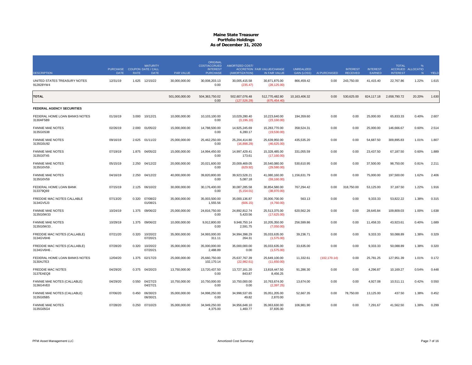|                                            |                                            |             | <b>MATURITY</b>      |                  | <b>ORIGINAL</b><br>COST/ACCRUED    | <b>AMORTIZED COST/</b>         |                                                     |                                         |               |                                    |                           | <b>TOTAL</b>    | %                      |              |
|--------------------------------------------|--------------------------------------------|-------------|----------------------|------------------|------------------------------------|--------------------------------|-----------------------------------------------------|-----------------------------------------|---------------|------------------------------------|---------------------------|-----------------|------------------------|--------------|
| <b>DESCRIPTION</b>                         | PURCHASE COUPON DATE / CALL<br><b>DATE</b> | <b>RATE</b> | <b>DATE</b>          | <b>PAR VALUE</b> | <b>INTEREST</b><br><b>PURCHASE</b> | (AMORTIZATION)                 | <b>ACCRETION FAIR VALUE/CHANGE</b><br>IN FAIR VALUE | <b>UNREALIZED</b><br><b>GAIN (LOSS)</b> | AI PURCHASED  | <b>INTEREST</b><br><b>RECEIVED</b> | <b>INTEREST</b><br>EARNED | <b>INTEREST</b> | ACCRUED ALLOCATIO<br>N | <b>YIELD</b> |
| UNITED STATES TREASURY NOTES<br>912828YW4  | 12/31/19                                   |             | 1.625 12/15/22       | 30,000,000.00    | 30,008,203.13<br>0.00              | 30,005,415.58<br>(235.47)      | 30,871,875.00<br>(28, 125.00)                       | 866,459.42                              | 0.00          | 243,750.00                         | 41,415.40                 | 22,767.86       | 1.22%                  | 1.615        |
| <b>TOTAL</b>                               |                                            |             |                      | 501,000,000.00   | 504,363,750.02<br>0.00             | 502,607,076.48<br>(127.526.29) | 512,770,482.80<br>(675.454.40)                      | 10,163,406.32                           | 0.00          | 530,625.00                         | 824,117.18                | 2,658,790.72    | 20.20%                 | 1.630        |
| FEDERAL AGENCY SECURITIES                  |                                            |             |                      |                  |                                    |                                |                                                     |                                         |               |                                    |                           |                 |                        |              |
| FEDERAL HOME LOAN BANKS NOTES<br>3130AF5B9 | 01/16/19                                   | 3.000       | 10/12/21             | 10,000,000.00    | 10.103.100.00<br>0.00              | 10,029,280.40<br>(3, 196.10)   | 10,223,640.00<br>(23, 160.00)                       | 194,359.60                              | 0.00          | 0.00                               | 25,000.00                 | 65,833.33       | 0.40%                  | 2.607        |
| <b>FANNIE MAE NOTES</b><br>3135G0S38       | 02/26/19                                   | 2.000       | 01/05/22             | 15,000,000.00    | 14,788,500.00<br>0.00              | 14,925,245.69<br>6,280.17      | 15,283,770.00<br>(19,530.00)                        | 358,524.31                              | 0.00          | 0.00                               | 25,000.00                 | 146,666.67      | 0.60%                  | 2.514        |
| <b>FANNIE MAE NOTES</b><br>3135G0U92       | 09/16/19                                   | 2.625       | 01/11/22             | 25,000,000.00    | 25,462,250.00<br>0.00              | 25,204,414.80<br>(16,898.29)   | 25,639,950.00<br>(46,625.00)                        | 435,535.20                              | 0.00          | 0.00                               | 54,687.50                 | 309,895.83      | 1.01%                  | 1.807        |
| <b>FANNIE MAE NOTES</b><br>3135G0T45       | 07/19/19                                   | 1.875       | 04/05/22             | 15,000,000.00    | 14.994.450.00<br>0.00              | 14.997.429.41<br>173.61        | 15.328.485.00<br>(17, 160.00)                       | 331.055.59                              | 0.00          | 0.00                               | 23,437.50                 | 67.187.50       | 0.60%                  | 1.889        |
| <b>FANNIE MAE NOTES</b><br>3135G0V59       | 05/15/19                                   | 2.250       | 04/12/22             | 20,000,000.00    | 20,021,600.00<br>0.00              | 20,009,469.05<br>(629.92)      | 20.540.080.00<br>(29,580.00)                        | 530,610.95                              | 0.00          | 0.00                               | 37,500.00                 | 98,750.00       | 0.81%                  | 2.211        |
| <b>FANNIE MAE NOTES</b><br>3135G0V59       | 04/16/19                                   | 2.250       | 04/12/22             | 40,000,000.00    | 39,820,800.00<br>0.00              | 39,923,528.21<br>5,087.18      | 41,080,160.00<br>(59, 160.00)                       | 1,156,631.79                            | 0.00          | 0.00                               | 75,000.00                 | 197,500.00      | 1.62%                  | 2.406        |
| FEDERAL HOME LOAN BANK<br>313379Q69        | 07/15/19                                   | 2.125       | 06/10/22             | 30,000,000.00    | 30,176,400.00<br>0.00              | 30,087,285.58<br>(5, 154.01)   | 30,854,580.00<br>(38,970.00)                        | 767,294.42                              | 0.00          | 318,750.00                         | 53,125.00                 | 37,187.50       | 1.22%                  | 1.916        |
| FREDDIE MAC NOTES CALLABLE<br>3134GV5J3    | 07/13/20                                   | 0.320       | 07/08/22<br>01/08/21 | 35,000,000.00    | 35,003,500.00<br>1,555.56          | 35,000,136.87<br>(606.15)      | 35,000,700.00<br>(4,760.00)                         | 563.13                                  | 0.00          | 0.00                               | 9,333.33                  | 53,822.22       | 1.38%                  | 0.315        |
| <b>FANNIE MAE NOTES</b><br>3135G0W33       | 10/24/19                                   | 1.375       | 09/06/22             | 25,000,000.00    | 24,816,750.00<br>0.00              | 24,892,812.74<br>5,420.56      | 25,513,375.00<br>(17,625.00)                        | 620,562.26                              | 0.00          | 0.00                               | 28,645.84                 | 109,809.03      | 1.00%                  | 1.638        |
| <b>FANNIE MAE NOTES</b><br>3135G0W33       | 10/29/19                                   | 1.375       | 09/06/22             | 10,000,000.00    | 9,912,800.00<br>0.00               | 9,948,750.14<br>2,591.75       | 10,205,350.00<br>(7,050.00)                         | 256,599.86                              | 0.00          | 0.00                               | 11,458.33                 | 43,923.61       | 0.40%                  | 1.689        |
| FREDDIE MAC NOTES (CALLABLE)<br>3134GV6H6  | 07/21/20                                   | 0.320       | 10/20/22<br>07/20/21 | 35,000,000.00    | 34,993,000.00<br>311.11            | 34,994,398.29<br>264.31        | 35,033,635.00<br>(1,575.00)                         | 39,236.71                               | 0.00          | 0.00                               | 9,333.33                  | 50,088.89       | 1.38%                  | 0.329        |
| FREDDIE MAC NOTES (CALLABLE)<br>3134GV6H6  | 07/28/20                                   | 0.320       | 10/20/22<br>07/20/21 | 35,000,000.00    | 35,000,000.00<br>2,488.89          | 35,000,000.00<br>0.00          | 35,033,635.00<br>(1,575.00)                         | 33,635.00                               | 0.00          | 0.00                               | 9,333.33                  | 50,088.89       | 1.38%                  | 0.320        |
| FEDERAL HOME LOAN BANKS NOTES<br>3130AJ7E3 | 12/04/20                                   | 1.375       | 02/17/23             | 25,000,000.00    | 25,660,750.00<br>102,170.14        | 25,637,767.39<br>(22, 982.61)  | 25,649,100.00<br>(11,650.00)                        | 11,332.61                               | (102, 170.14) | 0.00                               | 25,781.25                 | 127,951.39      | 1.01%                  | 0.172        |
| <b>FREDDIE MAC NOTES</b><br>3137EAEQ8      | 04/29/20                                   | 0.375       | 04/20/23             | 13.750.000.00    | 13.720.437.50<br>0.00              | 13.727.161.20<br>843.87        | 13.818.447.50<br>8,456.25                           | 91.286.30                               | 0.00          | 0.00                               | 4.296.87                  | 10.169.27       | 0.54%                  | 0.448        |
| FANNIE MAE NOTES (CALLABLE)<br>3136G4VE0   | 04/29/20                                   | 0.550       | 04/27/23<br>04/27/21 | 10,750,000.00    | 10,750,000.00<br>0.00              | 10,750,000.00<br>0.00          | 10,763,674.00<br>(2, 397.25)                        | 13,674.00                               | 0.00          | 0.00                               | 4,927.08                  | 10,511.11       | 0.42%                  | 0.550        |
| FANNIE MAE NOTES (CALLABLE)<br>3135G05B5   | 07/06/20                                   | 0.450       | 06/30/23<br>06/30/21 | 35,000,000.00    | 34,998,250.00<br>0.00              | 34,998,537.65<br>49.82         | 35,051,205.00<br>2.870.00                           | 52,667.35                               | 0.00          | 78,750.00                          | 13,125.00                 | 437.50          | 1.38%                  | 0.452        |
| <b>FANNIE MAE NOTES</b><br>3135G05G4       | 07/28/20                                   | 0.250       | 07/10/23             | 35,000,000.00    | 34,949,250.00<br>4,375.00          | 34,956,648.10<br>1,460.77      | 35,063,630.00<br>37,835.00                          | 106,981.90                              | 0.00          | 0.00                               | 7,291.67                  | 41,562.50       | 1.38%                  | 0.299        |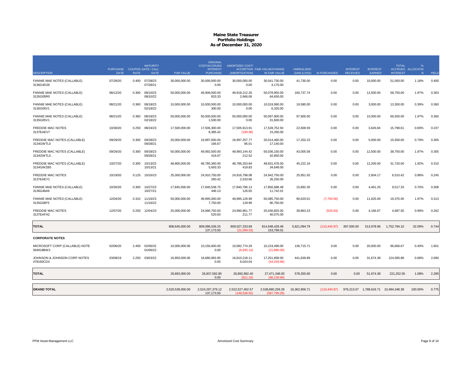|                                             | PURCHASE COUPON DATE / CALL |             | <b>MATURITY</b>      |                  | <b>ORIGINAL</b><br>COST/ACCRUED<br><b>INTEREST</b> | <b>AMORTIZED COST/</b>           | ACCRETION FAIR VALUE/CHANGE      | <b>UNREALIZED</b>  |               | <b>INTEREST</b> | <b>INTEREST</b>                         | <b>TOTAL</b>    | $\%$<br>ACCRUED ALLOCATIO |       |
|---------------------------------------------|-----------------------------|-------------|----------------------|------------------|----------------------------------------------------|----------------------------------|----------------------------------|--------------------|---------------|-----------------|-----------------------------------------|-----------------|---------------------------|-------|
| <b>DESCRIPTION</b>                          | <b>DATE</b>                 | <b>RATE</b> | <b>DATE</b>          | <b>PAR VALUE</b> | <b>PURCHASE</b>                                    | (AMORTIZATION)                   | IN FAIR VALUE                    | <b>GAIN (LOSS)</b> | AI PURCHASED  | <b>RECEIVED</b> | <b>EARNED</b>                           | <b>INTEREST</b> | N                         | YIELD |
| FANNIE MAE NOTES (CALLABLE)<br>3136G4D26    | 07/28/20                    | 0.400       | 07/28/23<br>07/28/21 | 30.000.000.00    | 30.000.000.00<br>0.00                              | 30.000.000.00<br>0.00            | 30.041.730.00<br>4.170.00        | 41.730.00          | 0.00          | 0.00            | 10.000.00                               | 51.000.00       | 1.18%                     | 0.400 |
| FANNIE MAE NOTES (CALLABLE)<br>3135G05R0    | 08/12/20                    | 0.300       | 08/10/23<br>08/10/22 | 50,000,000.00    | 49,906,000.00<br>833.33                            | 49,918,212.26<br>2,666.06        | 50,078,950.00<br>64,650.00       | 160,737.74         | 0.00          | 0.00            | 12,500.00                               | 58,750.00       | 1.97%                     | 0.363 |
| FANNIE MAE NOTES (CALLABLE)<br>3135G05V1    | 08/21/20                    | 0.360       | 08/18/23<br>02/18/22 | 10,000,000.00    | 10,000,000.00<br>300.00                            | 10,000,000.00<br>0.00            | 10,019,580.00<br>6,320.00        | 19,580.00          | 0.00          | 0.00            | 3,000.00                                | 13,300.00       | 0.39%                     | 0.360 |
| FANNIE MAE NOTES (CALLABLE)<br>3135G05V1    | 08/21/20                    | 0.360       | 08/18/23<br>02/18/22 | 50,000,000.00    | 50,000,000.00<br>1,500.00                          | 50.000.000.00<br>0.00            | 50,097,900.00<br>31,600.00       | 97,900.00          | 0.00          | 0.00            | 15,000.00                               | 66,500.00       | 1.97%                     | 0.360 |
| FREDDIE MAC NOTES<br>3137EAEV7              | 10/30/20                    | 0.250       | 08/24/23             | 17,500,000.00    | 17,506,300.00<br>8,385.42                          | 17,505,913.91<br>(189.98)        | 17,528,752.50<br>15,260.00       | 22,838.59          | 0.00          | 0.00            | 3,645.84                                | 15,798.61       | 0.69%                     | 0.237 |
| FREDDIE MAC NOTES (CALLABLE)<br>3134GWTL0   | 09/29/20                    | 0.300       | 09/28/23<br>09/28/21 | 20,000,000.00    | 19.997.000.00<br>166.67                            | 19.997.257.77<br>85.01           | 20.014.460.00<br>17,140.00       | 17.202.23          | 0.00          | 0.00            | 5,000.00                                | 15,500.00       | 0.79%                     | 0.305 |
| FREDDIE MAC NOTES (CALLABLE)<br>3134GWTL0.  | 09/29/20                    | 0.300       | 09/28/23<br>09/28/21 | 50,000,000.00    | 49,992,500.00<br>416.67                            | 49.993.144.42<br>212.52          | 50,036,150.00<br>42,850.00       | 43,005.58          | 0.00          | 0.00            | 12,500.00                               | 38,750.00       | 1.97%                     | 0.305 |
| FREDDIE MAC NOTES (CALLABLE)<br>3134GWZB5   | 10/27/20                    | 0.300       | 10/13/23<br>10/13/21 | 48,800,000.00    | 48,785,360.00<br>5,693.33                          | 48,786,253.84<br>419.83          | 48,831,476.00<br>34,648.00       | 45,222.16          | 0.00          | 0.00            | 12,200.00                               | 31,720.00       | 1.92%                     | 0.310 |
| FREDDIE MAC NOTES<br>3137EAEY1              | 10/19/20                    | 0.125       | 10/16/23             | 25,000,000.00    | 24,910,750.00<br>260.42                            | 24,916,798.08<br>2,533.66        | 24,942,750.00<br>26,250.00       | 25,951.92          | 0.00          | 0.00            | 2,604.17                                | 6,510.42        | 0.98%                     | 0.245 |
| FANNIE MAE NOTES (CALLABLE)<br>3136G46A6    | 10/30/20                    | 0.300       | 10/27/23<br>10/27/21 | 17,845,000.00    | 17,840,538.75<br>446.13                            | 17,840,796.13<br>126.65          | 17,856,688.48<br>11,742.01       | 15,892.35          | 0.00          | 0.00            | 4,461.25                                | 9,517.33        | 0.70%                     | 0.308 |
| FANNIE MAE NOTES (CALLABLE)<br>3135G06F5    | 12/04/20                    | 0.310       | 11/16/23<br>11/16/22 | 50.000.000.00    | 49.995.000.00<br>7.750.00                          | 49.995.129.99<br>129.99          | 50,085,750.00<br>90.750.00       | 90.620.01          | (7,750.00)    | 0.00            | 11,625.00                               | 19,375.00       | 1.97%                     | 0.313 |
| FREDDIE MAC NOTES<br>3137EAFA2              | 12/07/20                    | 0.250       | 12/04/23             | 25,000,000.00    | 24,990,750.00<br>520.83                            | 24,990,961.77<br>211.77          | 25,030,825.00<br>40,075.00       | 39,863.23          | (520.83)      | 0.00            | 4,166.67                                | 4,687.50        | 0.99%                     | 0.262 |
| <b>TOTAL</b>                                |                             |             |                      | 808,645,000.00   | 809,096,036.25<br>137, 173.50                      | 809,027,333.69<br>(21.099.53)    | 814,648,428.48<br>153,799.01     | 5,621,094.79       | (110, 440.97) | 397,500.00      | 513,978.96                              | 1,752,794.10    | 32.09%                    | 0.744 |
| <b>CORPORATE NOTES</b>                      |                             |             |                      |                  |                                                    |                                  |                                  |                    |               |                 |                                         |                 |                           |       |
| MICROSOFT CORP (CALLABLE) NOTE<br>594918BW3 | 02/06/20                    | 2.400       | 02/06/22<br>01/06/22 | 10,000,000.00    | 10,156,600.00<br>0.00                              | 10,082,774.29<br>(6,935.14)      | 10,219,490.00<br>(21,880.00)     | 136,715.71         | 0.00          | 0.00            | 20,000.00                               | 96,666.67       | 0.40%                     | 1.601 |
| JOHNSON & JOHNSON CORP NOTES<br>478160CD4   | 03/08/19                    | 2.250       | 03/03/22             | 16,893,000.00    | 16,680,992.85<br>0.00                              | 16,810,218.11<br>6,024.04        | 17,251,858.00<br>(44, 259.66)    | 441,639.89         | 0.00          | 0.00            | 31,674.38                               | 124,585.88      | 0.68%                     | 2.690 |
| <b>TOTAL</b>                                |                             |             |                      | 26,893,000.00    | 26,837,592.85<br>0.00                              | 26.892.992.40<br>(911.10)        | 27,471,348.00<br>(66.139.66)     | 578,355.60         | 0.00          | 0.00            | 51,674.38                               | 221,252.55      | 1.08%                     | 2.285 |
| <b>GRAND TOTAL</b>                          |                             |             |                      | 2,520,538,000.00 | 2,524,297,379.12<br>137, 173.50                    | 2,522,527,402.57<br>(149.536.92) | 2,538,890,259.28<br>(587.795.05) | 16,362,856.71      | (110, 440.97) |                 | 976,213.07  1,788,616.71  10,484,348.38 |                 | 100.00%                   | 0.775 |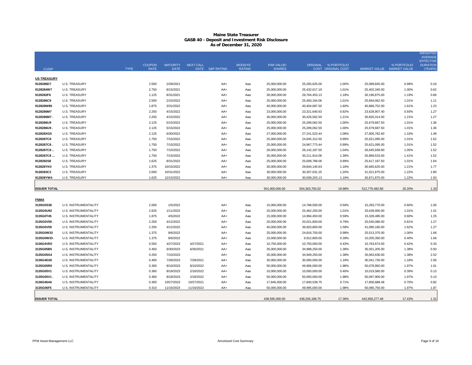|                     |                             |             |               |                 |                  |                 |                |                |                 |                      |                           |             | <b>WEIGHTED</b><br><b>AVERAGE</b>   |
|---------------------|-----------------------------|-------------|---------------|-----------------|------------------|-----------------|----------------|----------------|-----------------|----------------------|---------------------------|-------------|-------------------------------------|
|                     |                             |             | <b>COUPON</b> | <b>MATURITY</b> | <b>NEXT CALL</b> |                 | <b>MOODYS'</b> | PAR VALUE/     |                 | ORIGINAL % PORTFOLIO |                           | % PORTFOLIO | <b>EFFECTIVE</b><br><b>DURATION</b> |
| <b>CUSIP</b>        |                             | <b>TYPE</b> | <b>RATE</b>   | <b>DATE</b>     |                  | DATE S&P RATING | <b>RATING</b>  | <b>SHARES</b>  |                 | COST ORIGINAL COST   | MARKET VALUE MARKET VALUE |             | (YEARS                              |
| <b>US TREASURY</b>  |                             |             |               |                 |                  |                 |                |                |                 |                      |                           |             |                                     |
| 9128286D7           | U.S. TREASURY               |             | 2.500         | 2/28/2021       |                  | AA+             | Aaa            | 25,000,000.00  | 25,265,625.00   | 1.00%                | 25,089,845.00             | 0.99%       | 0.16                                |
| 9128284W7           | <b>U.S. TREASURY</b>        |             | 2.750         | 8/15/2021       |                  | AA+             | Aaa            | 25,000,000.00  | 25,432,617.19   | 1.01%                | 25,402,345.00             | 1.00%       | 0.62                                |
| 9128282F6           | <b>U.S. TREASURY</b>        |             | 1.125         | 8/31/2021       |                  | AA+             | Aaa            | 30,000,000.00  | 29,764,453.13   | 1.18%                | 30,196,875.00             | 1.19%       | 0.66                                |
| 9128286C9           | <b>U.S. TREASURY</b>        |             | 2.500         | 2/15/2022       |                  | AA+             | Aaa            | 25,000,000.00  | 25,493,164.06   | 1.01%                | 25,664,062.50             | 1.01%       | 1.11                                |
| 912828W89           | <b>U.S. TREASURY</b>        |             | 1.875         | 3/31/2022       |                  | AA+             | Aaa            | 40,000,000.00  | 40,404,687.50   | 1.60%                | 40,868,752.00             | 1.61%       | 1.23                                |
| 9128286M7           | <b>U.S. TREASURY</b>        |             | 2.250         | 4/15/2022       |                  | AA+             | Aaa            | 23,000,000.00  | 23,321,640.63   | 0.92%                | 23,628,907.40             | 0.93%       | 1.27                                |
| 9128286M7.          | <b>U.S. TREASURY</b>        |             | 2.250         | 4/15/2022       |                  | AA+             | Aaa            | 30,000,000.00  | 30,426,562.50   | 1.21%                | 30,820,314.00             | 1.21%       | 1.27                                |
| 9128286U9           | <b>U.S. TREASURY</b>        |             | 2.125         | 5/15/2022       |                  | AA+             | Aaa            | 25,000,000.00  | 25,289,062.50   | 1.00%                | 25,679,687.50             | 1.01%       | 1.36                                |
| 9128286U9           | <b>U.S. TREASURY</b>        |             | 2.125         | 5/15/2022       |                  | AA+             | Aaa            | 25,000,000.00  | 25,289,062.50   | 1.00%                | 25,679,687.50             | 1.01%       | 1.36                                |
| 912828XG0           | <b>U.S. TREASURY</b>        |             | 2.125         | 6/30/2022       |                  | AA+             | Aaa            | 27,000,000.00  | 27,241,523.44   | 1.08%                | 27,805,782.60             | 1.10%       | 1.48                                |
| 9128287C8           | <b>U.S. TREASURY</b>        |             | 1.750         | 7/15/2022       |                  | AA+             | Aaa            | 25,000,000.00  | 24,945,312.50   | 0.99%                | 25,621,095.00             | 1.01%       | 1.52                                |
| 9128287C8.          | <b>U.S. TREASURY</b>        |             | 1.750         | 7/15/2022       |                  | AA+             | Aaa            | 25,000,000.00  | 24,967,773.44   | 0.99%                | 25,621,095.00             | 1.01%       | 1.52                                |
| 9128287C8           | <b>U.S. TREASURY</b>        |             | 1.750         | 7/15/2022       |                  | AA+             | Aaa            | 26,000,000.00  | 26, 142, 187.50 | 1.04%                | 26,645,938.80             | 1.05%       | 1.52                                |
| 9128287C8           | <b>U.S. TREASURY</b>        |             | 1.750         | 7/15/2022       |                  | AA+             | Aaa            | 35,000,000.00  | 35,211,914.06   | 1.39%                | 35,869,533.00             | 1.41%       | 1.52                                |
| 9128282S8           | <b>U.S. TREASURY</b>        |             | 1.625         | 8/31/2022       |                  | AA+             | Aaa            | 25,000,000.00  | 25,008,789.06   | 0.99%                | 25,617,187.50             | 1.01%       | 1.64                                |
| 912828YK0           | <b>U.S. TREASURY</b>        |             | 1.375         | 10/15/2022      |                  | AA+             | Aaa            | 30,000,000.00  | 29,844,140.63   | 1.18%                | 30,665,625.00             | 1.21%       | 1.77                                |
| 9128283C2           | <b>U.S. TREASURY</b>        |             | 2.000         | 10/31/2022      |                  | AA+             | Aaa            | 30,000,000.00  | 30,307,031.25   | 1.20%                | 31,021,875.00             | 1.22%       | 1.80                                |
| 912828YW4           | <b>U.S. TREASURY</b>        |             | 1.625         | 12/15/2022      |                  | AA+             | Aaa            | 30,000,000.00  | 30,008,203.13   | 1.19%                | 30,871,875.00             | 1.22%       | 1.93                                |
|                     |                             |             |               |                 |                  |                 |                |                |                 |                      |                           |             |                                     |
| <b>ISSUER TOTAL</b> |                             |             |               |                 |                  |                 |                | 501.000.000.00 | 504,363,750.02  | 19.98%               | 512,770,482.80            | 20.20%      | 1.33                                |
| <b>FNMA</b>         |                             |             |               |                 |                  |                 |                |                |                 |                      |                           |             |                                     |
| 3135G0S38           | U.S. INSTRUMENTALITY        |             | 2.000         | 1/5/2022        |                  | AA+             | Aaa            | 15,000,000.00  | 14,788,500.00   | 0.59%                | 15,283,770.00             | 0.60%       | 1.00                                |
| 3135G0U92           | <b>U.S. INSTRUMENTALITY</b> |             | 2.625         | 1/11/2022       |                  | AA+             | Aaa            | 25,000,000.00  | 25,462,250.00   | 1.01%                | 25,639,950.00             | 1.01%       | 1.01                                |
| 3135G0T45           | U.S. INSTRUMENTALITY        |             | 1.875         | 4/5/2022        |                  | AA+             | Aaa            | 15,000,000.00  | 14,994,450.00   | 0.59%                | 15,328,485.00             | 0.60%       | 1.25                                |
| 3135G0V59.          | U.S. INSTRUMENTALITY        |             | 2.250         | 4/12/2022       |                  | AA+             | Aaa            | 20,000,000.00  | 20,021,600.00   | 0.79%                | 20,540,080.00             | 0.81%       | 1.27                                |
| 3135G0V59           | U.S. INSTRUMENTALITY        |             | 2.250         | 4/12/2022       |                  | AA+             | Aaa            | 40,000,000.00  | 39,820,800.00   | 1.58%                | 41,080,160.00             | 1.62%       | 1.27                                |
| 3135G0W33           | U.S. INSTRUMENTALITY        |             | 1.375         | 9/6/2022        |                  | AA+             | Aaa            | 25,000,000.00  | 24,816,750.00   | 0.98%                | 25,513,375.00             | 1.00%       | 1.66                                |
| 3135G0W33           | U.S. INSTRUMENTALITY        |             | 1.375         | 9/6/2022        |                  | AA+             | Aaa            | 10,000,000.00  | 9,912,800.00    | 0.39%                | 10,205,350.00             | 0.40%       | 1.66                                |
| 3136G4VE0           | U.S. INSTRUMENTALITY        |             | 0.550         | 4/27/2023       | 4/27/2021        | AA+             | Aaa            | 10,750,000.00  | 10,750,000.00   | 0.43%                | 10,763,674.00             | 0.42%       | 0.33                                |
| 3135G05B5           | U.S. INSTRUMENTALITY        |             | 0.450         | 6/30/2023       | 6/30/2021        | AA+             | Aaa            | 35,000,000.00  | 34,998,250.00   | 1.39%                | 35,051,205.00             | 1.38%       | 0.50                                |
| 3135G05G4           | U.S. INSTRUMENTALITY        |             | 0.250         | 7/10/2023       |                  | AA+             | Aaa            | 35,000,000.00  | 34,949,250.00   | 1.38%                | 35,063,630.00             | 1.38%       | 2.52                                |
| 3136G4D26           | <b>U.S. INSTRUMENTALITY</b> |             | 0.400         | 7/28/2023       | 7/28/2021        | AA+             | Aaa            | 30,000,000.00  | 30,000,000.00   | 1.19%                | 30,041,730.00             | 1.18%       | 2.56                                |
| 3135G05R0           | U.S. INSTRUMENTALITY        |             | 0.300         | 8/10/2023       | 8/10/2022        | AA+             | Aaa            | 50,000,000.00  | 49,906,000.00   | 1.98%                | 50,078,950.00             | 1.97%       | 1.61                                |
| 3135G05V1           | <b>U.S. INSTRUMENTALITY</b> |             | 0.360         | 8/18/2023       | 2/18/2022        | AA+             | Aaa            | 10,000,000.00  | 10,000,000.00   | 0.40%                | 10,019,580.00             | 0.39%       | 0.13                                |
| 3135G05V1.          | U.S. INSTRUMENTALITY        |             | 0.360         | 8/18/2023       | 2/18/2022        | AA+             | Aaa            | 50,000,000.00  | 50,000,000.00   | 1.98%                | 50,097,900.00             | 1.97%       | 0.13                                |
| 3136G46A6           | U.S. INSTRUMENTALITY        |             | 0.300         | 10/27/2023      | 10/27/2021       | AA+             | Aaa            | 17,845,000.00  | 17,840,538.75   | 0.71%                | 17,856,688.48             | 0.70%       | 0.82                                |
| 3135G06F5           | <b>U.S. INSTRUMENTALITY</b> |             | 0.310         | 11/16/2023      | 11/16/2022       | $AA+$           | Aaa            | 50.000.000.00  | 49.995.000.00   | 1.98%                | 50.085.750.00             | 1.97%       | 1.87                                |
|                     |                             |             |               |                 |                  |                 |                |                |                 |                      |                           |             |                                     |
| <b>ISSUER TOTAL</b> |                             |             |               |                 |                  |                 |                | 438,595,000.00 | 438,256,188.75  | 17.36%               | 442,650,277.48            | 17.43%      | 1.31                                |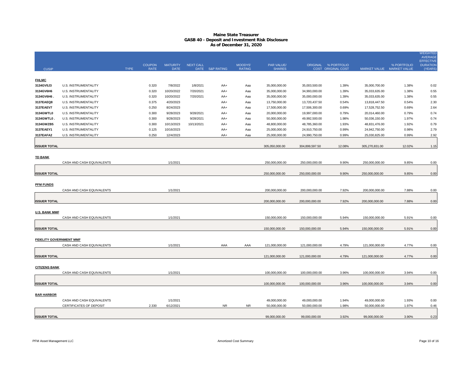|                                |                             |             |               |                 |                  |                 |                |                |                |                           |                           |             | <b>WEIGHTED</b><br><b>AVERAGE</b>   |
|--------------------------------|-----------------------------|-------------|---------------|-----------------|------------------|-----------------|----------------|----------------|----------------|---------------------------|---------------------------|-------------|-------------------------------------|
|                                |                             |             | <b>COUPON</b> | <b>MATURITY</b> | <b>NEXT CALL</b> |                 | <b>MOODYS'</b> | PAR VALUE/     |                | ORIGINAL % PORTFOLIO      |                           | % PORTFOLIO | <b>EFFECTIVE</b><br><b>DURATION</b> |
| <b>CUSIP</b>                   |                             | <b>TYPE</b> | <b>RATE</b>   | <b>DATE</b>     |                  | DATE S&P RATING | <b>RATING</b>  | <b>SHARES</b>  |                | <b>COST ORIGINAL COST</b> | MARKET VALUE MARKET VALUE |             | (YEARS)                             |
|                                |                             |             |               |                 |                  |                 |                |                |                |                           |                           |             |                                     |
| <b>FHLMC</b>                   |                             |             |               |                 |                  |                 |                |                |                |                           |                           |             |                                     |
| 3134GV5J3                      | <b>U.S. INSTRUMENTALITY</b> |             | 0.320         | 7/8/2022        | 1/8/2021         | $AA+$           | Aaa            | 35,000,000.00  | 35,003,500.00  | 1.39%                     | 35,000,700.00             | 1.38%       | 0.02                                |
| 3134GV6H6                      | U.S. INSTRUMENTALITY        |             | 0.320         | 10/20/2022      | 7/20/2021        | AA+             | Aaa            | 35,000,000.00  | 34,993,000.00  | 1.39%                     | 35,033,635.00             | 1.38%       | 0.55                                |
| 3134GV6H6.                     | U.S. INSTRUMENTALITY        |             | 0.320         | 10/20/2022      | 7/20/2021        | AA+             | Aaa            | 35,000,000.00  | 35,000,000.00  | 1.39%                     | 35,033,635.00             | 1.38%       | 0.55                                |
| 3137EAEQ8                      | U.S. INSTRUMENTALITY        |             | 0.375         | 4/20/2023       |                  | AA+             | Aaa            | 13,750,000.00  | 13,720,437.50  | 0.54%                     | 13,818,447.50             | 0.54%       | 2.30                                |
| 3137EAEV7                      | U.S. INSTRUMENTALITY        |             | 0.250         | 8/24/2023       |                  | AA+             | Aaa            | 17,500,000.00  | 17,506,300.00  | 0.69%                     | 17,528,752.50             | 0.69%       | 2.64                                |
| 3134GWTL0                      | U.S. INSTRUMENTALITY        |             | 0.300         | 9/28/2023       | 9/28/2021        | AA+             | Aaa            | 20,000,000.00  | 19,997,000.00  | 0.79%                     | 20,014,460.00             | 0.79%       | 0.74                                |
| 3134GWTL0                      | U.S. INSTRUMENTALITY        |             | 0.300         | 9/28/2023       | 9/28/2021        | AA+             | Aaa            | 50,000,000.00  | 49,992,500.00  | 1.98%                     | 50,036,150.00             | 1.97%       | 0.74                                |
| 3134GWZB5                      | <b>U.S. INSTRUMENTALITY</b> |             | 0.300         | 10/13/2023      | 10/13/2021       | AA+             | Aaa            | 48,800,000.00  | 48,785,360.00  | 1.93%                     | 48,831,476.00             | 1.92%       | 0.79                                |
| 3137EAEY1                      | U.S. INSTRUMENTALITY        |             | 0.125         | 10/16/2023      |                  | AA+             | Aaa            | 25,000,000.00  | 24,910,750.00  | 0.99%                     | 24,942,750.00             | 0.98%       | 2.79                                |
| 3137EAFA2                      | <b>U.S. INSTRUMENTALITY</b> |             | 0.250         | 12/4/2023       |                  | AA+             | Aaa            | 25,000,000.00  | 24,990,750.00  | 0.99%                     | 25,030,825.00             | 0.99%       | 2.92                                |
| <b>ISSUER TOTAL</b>            |                             |             |               |                 |                  |                 |                | 305,050,000.00 | 304,899,597.50 | 12.08%                    | 305,270,831.00            | 12.02%      | 1.15                                |
|                                |                             |             |               |                 |                  |                 |                |                |                |                           |                           |             |                                     |
| <b>TD BANK</b>                 |                             |             |               |                 |                  |                 |                |                |                |                           |                           |             |                                     |
|                                | CASH AND CASH EQUIVALENTS   |             |               | 1/1/2021        |                  |                 |                | 250,000,000.00 | 250,000,000.00 | 9.90%                     | 250,000,000.00            | 9.85%       | 0.00                                |
|                                |                             |             |               |                 |                  |                 |                |                |                |                           |                           |             |                                     |
| <b>ISSUER TOTAL</b>            |                             |             |               |                 |                  |                 |                | 250,000,000.00 | 250,000,000.00 | 9.90%                     | 250,000,000.00            | 9.85%       | 0.00                                |
|                                |                             |             |               |                 |                  |                 |                |                |                |                           |                           |             |                                     |
| <b>PFM FUNDS</b>               |                             |             |               |                 |                  |                 |                |                |                |                           |                           |             |                                     |
|                                | CASH AND CASH EQUIVALENTS   |             |               | 1/1/2021        |                  |                 |                | 200,000,000.00 | 200,000,000.00 | 7.92%                     | 200,000,000.00            | 7.88%       | 0.00                                |
|                                |                             |             |               |                 |                  |                 |                |                |                |                           |                           |             |                                     |
| <b>ISSUER TOTAL</b>            |                             |             |               |                 |                  |                 |                | 200,000,000.00 | 200,000,000.00 | 7.92%                     | 200,000,000.00            | 7.88%       | 0.00                                |
|                                |                             |             |               |                 |                  |                 |                |                |                |                           |                           |             |                                     |
| <b>U.S. BANK MMF</b>           |                             |             |               |                 |                  |                 |                |                |                |                           |                           |             |                                     |
|                                | CASH AND CASH EQUIVALENTS   |             |               | 1/1/2021        |                  |                 |                | 150,000,000.00 | 150,000,000.00 | 5.94%                     | 150,000,000.00            | 5.91%       | 0.00                                |
|                                |                             |             |               |                 |                  |                 |                |                |                |                           |                           |             |                                     |
| <b>ISSUER TOTAL</b>            |                             |             |               |                 |                  |                 |                | 150,000,000.00 | 150,000,000.00 | 5.94%                     | 150,000,000.00            | 5.91%       | 0.00                                |
|                                |                             |             |               |                 |                  |                 |                |                |                |                           |                           |             |                                     |
| <b>FIDELITY GOVERNMENT MMF</b> |                             |             |               |                 |                  |                 |                |                |                |                           |                           |             |                                     |
|                                | CASH AND CASH EQUIVALENTS   |             |               | 1/1/2021        |                  | AAA             | AAA            | 121,000,000.00 | 121,000,000.00 | 4.79%                     | 121,000,000.00            | 4.77%       | 0.00                                |
|                                |                             |             |               |                 |                  |                 |                |                |                |                           |                           |             |                                     |
| <b>ISSUER TOTAL</b>            |                             |             |               |                 |                  |                 |                | 121,000,000.00 | 121,000,000.00 | 4.79%                     | 121,000,000.00            | 4.77%       | 0.00                                |
|                                |                             |             |               |                 |                  |                 |                |                |                |                           |                           |             |                                     |
| <b>CITIZENS BANK</b>           |                             |             |               |                 |                  |                 |                |                |                |                           |                           |             |                                     |
|                                | CASH AND CASH EQUIVALENTS   |             |               | 1/1/2021        |                  |                 |                | 100,000,000.00 | 100,000,000.00 | 3.96%                     | 100,000,000.00            | 3.94%       | 0.00                                |
| <b>ISSUER TOTAL</b>            |                             |             |               |                 |                  |                 |                | 100,000,000.00 |                | 3.96%                     | 100,000,000.00            | 3.94%       |                                     |
|                                |                             |             |               |                 |                  |                 |                |                | 100,000,000.00 |                           |                           |             | 0.00                                |
| <b>BAR HARBOR</b>              |                             |             |               |                 |                  |                 |                |                |                |                           |                           |             |                                     |
|                                | CASH AND CASH EQUIVALENTS   |             |               | 1/1/2021        |                  |                 |                | 49,000,000.00  | 49,000,000.00  | 1.94%                     | 49,000,000.00             | 1.93%       | 0.00                                |
|                                | CERTIFICATES OF DEPOSIT     |             | 2.330         | 6/12/2021       |                  | <b>NR</b>       | <b>NR</b>      | 50,000,000.00  | 50,000,000.00  | 1.98%                     | 50,000,000.00             | 1.97%       | 0.46                                |
|                                |                             |             |               |                 |                  |                 |                |                |                |                           |                           |             |                                     |
| <b>ISSUER TOTAL</b>            |                             |             |               |                 |                  |                 |                | 99,000,000.00  | 99.000.000.00  | 3.92%                     | 99.000.000.00             | 3.90%       | 0.23                                |
|                                |                             |             |               |                 |                  |                 |                |                |                |                           |                           |             |                                     |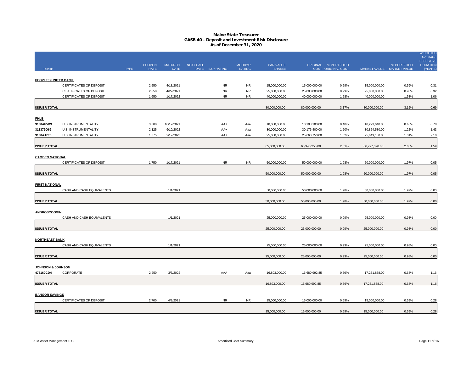|                              |                           |             | <b>COUPON</b> | <b>MATURITY</b> | <b>NEXT CALL</b> |                 | <b>MOODYS'</b> | PAR VALUE/    |               | ORIGINAL % PORTFOLIO |                           | % PORTFOLIO | <b>WEIGHTED</b><br><b>AVERAGE</b><br><b>EFFECTIVE</b><br><b>DURATION</b> |
|------------------------------|---------------------------|-------------|---------------|-----------------|------------------|-----------------|----------------|---------------|---------------|----------------------|---------------------------|-------------|--------------------------------------------------------------------------|
| <b>CUSIP</b>                 |                           | <b>TYPE</b> | <b>RATE</b>   | <b>DATE</b>     |                  | DATE S&P RATING | <b>RATING</b>  | <b>SHARES</b> |               | COST ORIGINAL COST   | MARKET VALUE MARKET VALUE |             | (YEARS)                                                                  |
|                              |                           |             |               |                 |                  |                 |                |               |               |                      |                           |             |                                                                          |
| PEOPLE'S UNITED BANK         |                           |             |               |                 |                  |                 |                |               |               |                      |                           |             |                                                                          |
|                              | CERTIFICATES OF DEPOSIT   |             | 2.550         | 4/18/2021       |                  | <b>NR</b>       | NR             | 15,000,000.00 | 15,000,000.00 | 0.59%                | 15,000,000.00             | 0.59%       | 0.31                                                                     |
|                              | CERTIFICATES OF DEPOSIT   |             | 2.550         | 4/22/2021       |                  | <b>NR</b>       | <b>NR</b>      | 25,000,000.00 | 25,000,000.00 | 0.99%                | 25,000,000.00             | 0.98%       | 0.32                                                                     |
|                              | CERTIFICATES OF DEPOSIT   |             | 1.650         | 1/17/2022       |                  | <b>NR</b>       | <b>NR</b>      | 40,000,000.00 | 40,000,000.00 | 1.58%                | 40,000,000.00             | 1.58%       | 1.06                                                                     |
|                              |                           |             |               |                 |                  |                 |                |               |               |                      |                           |             |                                                                          |
| <b>ISSUER TOTAL</b>          |                           |             |               |                 |                  |                 |                | 80,000,000.00 | 80,000,000.00 | 3.17%                | 80,000,000.00             | 3.15%       | 0.69                                                                     |
|                              |                           |             |               |                 |                  |                 |                |               |               |                      |                           |             |                                                                          |
| <u>FHLB</u><br>3130AF5B9     | U.S. INSTRUMENTALITY      |             | 3.000         | 10/12/2021      |                  | AA+             | Aaa            | 10,000,000.00 | 10,103,100.00 | 0.40%                | 10,223,640.00             | 0.40%       | 0.78                                                                     |
| 313379Q69                    | U.S. INSTRUMENTALITY      |             | 2.125         | 6/10/2022       |                  | AA+             | Aaa            | 30,000,000.00 | 30,176,400.00 | 1.20%                | 30,854,580.00             | 1.22%       | 1.43                                                                     |
| 3130AJ7E3                    | U.S. INSTRUMENTALITY      |             | 1.375         | 2/17/2023       |                  | AA+             | Aaa            | 25,000,000.00 | 25,660,750.00 | 1.02%                | 25,649,100.00             | 1.01%       | 2.10                                                                     |
|                              |                           |             |               |                 |                  |                 |                |               |               |                      |                           |             |                                                                          |
| <b>ISSUER TOTAL</b>          |                           |             |               |                 |                  |                 |                | 65,000,000.00 | 65,940,250.00 | 2.61%                | 66,727,320.00             | 2.63%       | 1.59                                                                     |
|                              |                           |             |               |                 |                  |                 |                |               |               |                      |                           |             |                                                                          |
| <b>CAMDEN NATIONAL</b>       |                           |             |               |                 |                  |                 |                |               |               |                      |                           |             |                                                                          |
|                              | CERTIFICATES OF DEPOSIT   |             | 1.750         | 1/17/2021       |                  | NR.             | <b>NR</b>      | 50,000,000.00 | 50,000,000.00 | 1.98%                | 50,000,000.00             | 1.97%       | 0.05                                                                     |
|                              |                           |             |               |                 |                  |                 |                |               |               |                      |                           |             |                                                                          |
| <b>ISSUER TOTAL</b>          |                           |             |               |                 |                  |                 |                | 50,000,000.00 | 50,000,000.00 | 1.98%                | 50,000,000.00             | 1.97%       | 0.05                                                                     |
|                              |                           |             |               |                 |                  |                 |                |               |               |                      |                           |             |                                                                          |
| <b>FIRST NATIONAL</b>        |                           |             |               |                 |                  |                 |                |               |               |                      |                           |             |                                                                          |
|                              | CASH AND CASH EQUIVALENTS |             |               | 1/1/2021        |                  |                 |                | 50,000,000.00 | 50,000,000.00 | 1.98%                | 50,000,000.00             | 1.97%       | 0.00                                                                     |
|                              |                           |             |               |                 |                  |                 |                |               |               |                      |                           |             |                                                                          |
| <b>ISSUER TOTAL</b>          |                           |             |               |                 |                  |                 |                | 50,000,000.00 | 50,000,000.00 | 1.98%                | 50,000,000.00             | 1.97%       | 0.00                                                                     |
| <b>ANDROSCOGGIN</b>          |                           |             |               |                 |                  |                 |                |               |               |                      |                           |             |                                                                          |
|                              | CASH AND CASH EQUIVALENTS |             |               | 1/1/2021        |                  |                 |                | 25,000,000.00 | 25,000,000.00 | 0.99%                | 25,000,000.00             | 0.98%       | 0.00                                                                     |
|                              |                           |             |               |                 |                  |                 |                |               |               |                      |                           |             |                                                                          |
| <b>ISSUER TOTAL</b>          |                           |             |               |                 |                  |                 |                | 25,000,000.00 | 25,000,000.00 | 0.99%                | 25,000,000.00             | 0.98%       | 0.00                                                                     |
|                              |                           |             |               |                 |                  |                 |                |               |               |                      |                           |             |                                                                          |
| <b>NORTHEAST BANK</b>        |                           |             |               |                 |                  |                 |                |               |               |                      |                           |             |                                                                          |
|                              | CASH AND CASH EQUIVALENTS |             |               | 1/1/2021        |                  |                 |                | 25,000,000.00 | 25,000,000.00 | 0.99%                | 25,000,000.00             | 0.98%       | 0.00                                                                     |
|                              |                           |             |               |                 |                  |                 |                |               |               |                      |                           |             |                                                                          |
| <b>ISSUER TOTAL</b>          |                           |             |               |                 |                  |                 |                | 25,000,000.00 | 25,000,000.00 | 0.99%                | 25,000,000.00             | 0.98%       | 0.00                                                                     |
|                              |                           |             |               |                 |                  |                 |                |               |               |                      |                           |             |                                                                          |
| <b>JOHNSON &amp; JOHNSON</b> |                           |             |               |                 |                  |                 |                |               |               |                      |                           |             |                                                                          |
| 478160CD4                    | CORPORATE                 |             | 2.250         | 3/3/2022        |                  | AAA             | Aaa            | 16,893,000.00 | 16,680,992.85 | 0.66%                | 17,251,858.00             | 0.68%       | 1.16                                                                     |
|                              |                           |             |               |                 |                  |                 |                |               |               |                      |                           |             |                                                                          |
| <b>ISSUER TOTAL</b>          |                           |             |               |                 |                  |                 |                | 16,893,000.00 | 16,680,992.85 | 0.66%                | 17,251,858.00             | 0.68%       | 1.16                                                                     |
|                              |                           |             |               |                 |                  |                 |                |               |               |                      |                           |             |                                                                          |
| <b>BANGOR SAVINGS</b>        | CERTIFICATES OF DEPOSIT   |             | 2.700         | 4/8/2021        |                  | NR              | NR.            | 15,000,000,00 | 15,000,000.00 | 0.59%                | 15.000.000.00             | 0.59%       | 0.28                                                                     |
|                              |                           |             |               |                 |                  |                 |                |               |               |                      |                           |             |                                                                          |
| <b>ISSUER TOTAL</b>          |                           |             |               |                 |                  |                 |                | 15,000,000.00 | 15,000,000.00 | 0.59%                | 15,000,000.00             | 0.59%       | 0.28                                                                     |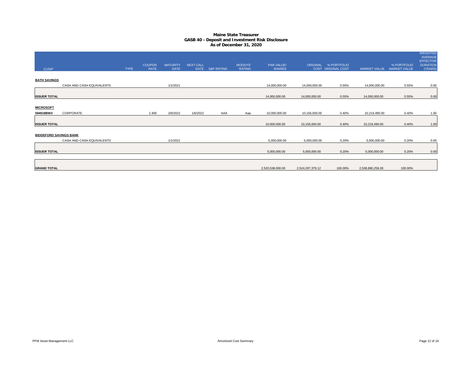| <b>CUSIP</b>                  |                           | <b>TYPE</b> | <b>COUPON</b><br>RATE | <b>MATURITY</b><br><b>DATE</b> | <b>NEXT CALL</b> | DATE S&P RATING | <b>MOODYS'</b><br><b>RATING</b> | PAR VALUE/<br><b>SHARES</b> |                  | ORIGINAL % PORTFOLIO<br>COST ORIGINAL COST | <b>MARKET VALUE</b> | % PORTFOLIO<br><b>MARKET VALUE</b> | <b>WEIGHTED</b><br><b>AVERAGE</b><br><b>EFFECTIVE</b><br><b>DURATION</b><br>(YEARS) |
|-------------------------------|---------------------------|-------------|-----------------------|--------------------------------|------------------|-----------------|---------------------------------|-----------------------------|------------------|--------------------------------------------|---------------------|------------------------------------|-------------------------------------------------------------------------------------|
| <b>BATH SAVINGS</b>           |                           |             |                       |                                |                  |                 |                                 |                             |                  |                                            |                     |                                    |                                                                                     |
|                               | CASH AND CASH EQUIVALENTS |             |                       | 1/1/2021                       |                  |                 |                                 | 14,000,000.00               | 14,000,000.00    | 0.55%                                      | 14,000,000.00       | 0.55%                              | 0.00                                                                                |
| <b>ISSUER TOTAL</b>           |                           |             |                       |                                |                  |                 |                                 | 14,000,000.00               | 14,000,000.00    | 0.55%                                      | 14,000,000.00       | 0.55%                              | 0.00                                                                                |
| <b>MICROSOFT</b>              |                           |             |                       |                                |                  |                 |                                 |                             |                  |                                            |                     |                                    |                                                                                     |
| 594918BW3                     | CORPORATE                 |             | 2.400                 | 2/6/2022                       | 1/6/2022         | AAA             | Aaa                             | 10,000,000.00               | 10,156,600.00    | 0.40%                                      | 10,219,490.00       | 0.40%                              | 1.00                                                                                |
| <b>ISSUER TOTAL</b>           |                           |             |                       |                                |                  |                 |                                 | 10,000,000.00               | 10,156,600.00    | 0.40%                                      | 10,219,490.00       | 0.40%                              | 1.00                                                                                |
| <b>BIDDEFORD SAVINGS BANK</b> |                           |             |                       |                                |                  |                 |                                 |                             |                  |                                            |                     |                                    |                                                                                     |
|                               | CASH AND CASH EQUIVALENTS |             |                       | 1/1/2021                       |                  |                 |                                 | 5,000,000.00                | 5,000,000.00     | 0.20%                                      | 5,000,000.00        | 0.20%                              | 0.00                                                                                |
| <b>ISSUER TOTAL</b>           |                           |             |                       |                                |                  |                 |                                 | 5,000,000.00                | 5,000,000.00     | 0.20%                                      | 5,000,000.00        | 0.20%                              | 0.00                                                                                |
| <b>GRAND TOTAL</b>            |                           |             |                       |                                |                  |                 |                                 | 2,520,538,000.00            | 2,524,297,379.12 | 100.00%                                    | 2,538,890,259.28    | 100.00%                            |                                                                                     |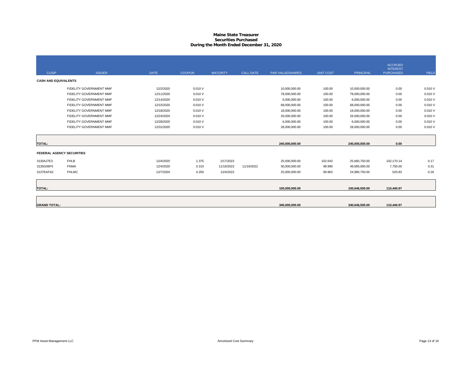#### **Maine State Treasurer Securities PurchasedDuring the Month Ended December 31, 2020**

|                             |                                  |             |               |                 |                  |                  |                  |                  | <b>ACCRUED</b>                      |              |
|-----------------------------|----------------------------------|-------------|---------------|-----------------|------------------|------------------|------------------|------------------|-------------------------------------|--------------|
| <b>CUSIP</b>                | <b>ISSUER</b>                    | <b>DATE</b> | <b>COUPON</b> | <b>MATURITY</b> | <b>CALL DATE</b> | PAR VALUE/SHARES | <b>UNIT COST</b> | <b>PRINCIPAL</b> | <b>INTEREST</b><br><b>PURCHASED</b> | <b>YIELD</b> |
| <b>CASH AND EQUIVALENTS</b> |                                  |             |               |                 |                  |                  |                  |                  |                                     |              |
|                             | FIDELITY GOVERNMENT MMF          | 12/2/2020   | 0.010V        |                 |                  | 10,000,000.00    | 100.00           | 10,000,000.00    | 0.00                                | 0.010V       |
|                             | FIDELITY GOVERNMENT MMF          | 12/11/2020  | 0.010V        |                 |                  | 78,000,000.00    | 100.00           | 78,000,000.00    | 0.00                                | 0.010V       |
|                             | FIDELITY GOVERNMENT MMF          | 12/14/2020  | 0.010V        |                 |                  | 6,000,000.00     | 100.00           | 6,000,000.00     | 0.00                                | 0.010V       |
|                             | FIDELITY GOVERNMENT MMF          | 12/15/2020  | 0.010V        |                 |                  | 68,000,000.00    | 100.00           | 68,000,000.00    | 0.00                                | 0.010 V      |
|                             | FIDELITY GOVERNMENT MMF          | 12/18/2020  | 0.010V        |                 |                  | 18,000,000.00    | 100.00           | 18,000,000.00    | 0.00                                | 0.010V       |
|                             | FIDELITY GOVERNMENT MMF          | 12/24/2020  | 0.010V        |                 |                  | 26,000,000.00    | 100.00           | 26,000,000.00    | 0.00                                | 0.010V       |
|                             | FIDELITY GOVERNMENT MMF          | 12/28/2020  | 0.010V        |                 |                  | 6,000,000.00     | 100.00           | 6,000,000.00     | 0.00                                | 0.010V       |
|                             | FIDELITY GOVERNMENT MMF          | 12/31/2020  | 0.010V        |                 |                  | 28,000,000.00    | 100.00           | 28,000,000.00    | 0.00                                | 0.010V       |
|                             |                                  |             |               |                 |                  |                  |                  |                  |                                     |              |
| <b>TOTAL:</b>               |                                  |             |               |                 |                  | 240,000,000.00   |                  | 240.000.000.00   | 0.00                                |              |
|                             | <b>FEDERAL AGENCY SECURITIES</b> |             |               |                 |                  |                  |                  |                  |                                     |              |
| 3130AJ7E3                   | <b>FHLB</b>                      | 12/4/2020   | 1.375         | 2/17/2023       |                  | 25,000,000.00    | 102.643          | 25,660,750.00    | 102,170.14                          | 0.17         |
| 3135G06F5                   | <b>FNMA</b>                      | 12/4/2020   | 0.310         | 11/16/2023      | 11/16/2022       | 50,000,000.00    | 99.990           | 49,995,000.00    | 7,750.00                            | 0.31         |
| 3137EAFA2                   | <b>FHLMC</b>                     | 12/7/2020   | 0.250         | 12/4/2023       |                  | 25,000,000.00    | 99.963           | 24,990,750.00    | 520.83                              | 0.26         |
|                             |                                  |             |               |                 |                  |                  |                  |                  |                                     |              |
| <b>TOTAL:</b>               |                                  |             |               |                 |                  | 100,000,000.00   |                  | 100,646,500.00   | 110,440.97                          |              |
|                             |                                  |             |               |                 |                  |                  |                  |                  |                                     |              |
| <b>GRAND TOTAL:</b>         |                                  |             |               |                 |                  | 340,000,000.00   |                  | 340,646,500.00   | 110,440.97                          |              |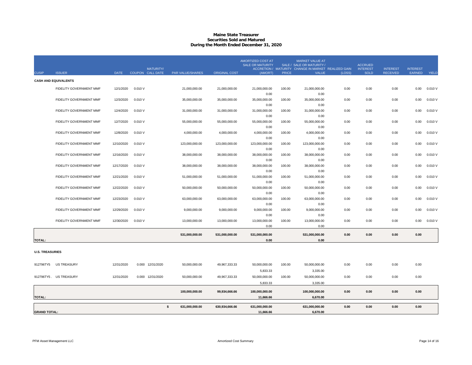#### **Maine State Treasurer Securities Sold and MaturedDuring the Month Ended December 31, 2020**

|                        |                             |             | <b>MATURITY/</b> |                         |                      | <b>AMORTIZED COST AT</b><br><b>SALE OR MATURITY</b> |              | <b>MARKET VALUE AT</b><br>SALE / SALE OR MATURITY /<br>ACCRETION / MATURITY CHANGE IN MARKET REALIZED GAIN |        | <b>ACCRUED</b><br><b>INTEREST</b> | <b>INTEREST</b> | <b>INTEREST</b> |              |
|------------------------|-----------------------------|-------------|------------------|-------------------------|----------------------|-----------------------------------------------------|--------------|------------------------------------------------------------------------------------------------------------|--------|-----------------------------------|-----------------|-----------------|--------------|
| <b>CUSIP</b>           | <b>ISSUER</b>               | <b>DATE</b> | COUPON CALL DATE | <b>PAR VALUE/SHARES</b> | <b>ORIGINAL COST</b> | (AMORT)                                             | <b>PRICE</b> | <b>VALUE</b>                                                                                               | (LOSS) | <b>SOLD</b>                       | <b>RECEIVED</b> | EARNED          | <b>YIELD</b> |
|                        | <b>CASH AND EQUIVALENTS</b> |             |                  |                         |                      |                                                     |              |                                                                                                            |        |                                   |                 |                 |              |
|                        | FIDELITY GOVERNMENT MMF     | 12/1/2020   | 0.010V           | 21,000,000.00           | 21,000,000.00        | 21,000,000.00                                       | 100.00       | 21,000,000.00                                                                                              | 0.00   | 0.00                              | 0.00            | 0.00            | 0.010 V      |
|                        |                             |             |                  |                         |                      | 0.00                                                |              | 0.00                                                                                                       |        |                                   |                 |                 |              |
|                        | FIDELITY GOVERNMENT MMF     | 12/3/2020   | 0.010V           | 35,000,000.00           | 35,000,000.00        | 35,000,000.00                                       | 100.00       | 35,000,000.00                                                                                              | 0.00   | 0.00                              | 0.00            | 0.00            | 0.010V       |
|                        |                             |             |                  |                         |                      | 0.00                                                |              | 0.00                                                                                                       |        |                                   |                 |                 |              |
|                        | FIDELITY GOVERNMENT MMF     | 12/4/2020   | 0.010V           | 31,000,000.00           | 31,000,000.00        | 31,000,000.00                                       | 100.00       | 31,000,000.00                                                                                              | 0.00   | 0.00                              | 0.00            | 0.00            | 0.010V       |
|                        |                             |             |                  |                         |                      | 0.00                                                |              | 0.00                                                                                                       |        |                                   |                 |                 |              |
|                        | FIDELITY GOVERNMENT MMF     | 12/7/2020   | 0.010V           | 55,000,000.00           | 55,000,000.00        | 55,000,000.00                                       | 100.00       | 55,000,000.00                                                                                              | 0.00   | 0.00                              | 0.00            | 0.00            | 0.010V       |
|                        |                             |             |                  |                         |                      | 0.00                                                |              | 0.00                                                                                                       |        |                                   |                 |                 |              |
|                        | FIDELITY GOVERNMENT MMF     | 12/8/2020   | 0.010V           | 4,000,000.00            | 4,000,000.00         | 4,000,000.00                                        | 100.00       | 4,000,000.00                                                                                               | 0.00   | 0.00                              | 0.00            | 0.00            | 0.010 V      |
|                        |                             |             |                  |                         |                      | 0.00                                                |              | 0.00                                                                                                       |        |                                   |                 |                 |              |
|                        | FIDELITY GOVERNMENT MMF     | 12/10/2020  | 0.010V           | 123.000.000.00          | 123,000,000.00       | 123,000,000.00                                      | 100.00       | 123,000,000.00                                                                                             | 0.00   | 0.00                              | 0.00            | 0.00            | 0.010V       |
|                        |                             |             |                  |                         |                      | 0.00                                                |              | 0.00                                                                                                       |        |                                   |                 |                 |              |
|                        | FIDELITY GOVERNMENT MMF     | 12/16/2020  | 0.010V           | 38,000,000.00           | 38,000,000.00        | 38,000,000.00                                       | 100.00       | 38,000,000.00                                                                                              | 0.00   | 0.00                              | 0.00            | 0.00            | 0.010V       |
|                        |                             |             |                  |                         |                      | 0.00                                                |              | 0.00                                                                                                       |        |                                   |                 |                 |              |
|                        | FIDELITY GOVERNMENT MMF     | 12/17/2020  | 0.010V           | 38,000,000.00           | 38,000,000.00        | 38,000,000.00                                       | 100.00       | 38,000,000.00                                                                                              | 0.00   | 0.00                              | 0.00            | 0.00            | 0.010 V      |
|                        | FIDELITY GOVERNMENT MMF     | 12/21/2020  |                  |                         |                      | 0.00                                                |              | 0.00                                                                                                       |        |                                   |                 |                 | 0.010V       |
|                        |                             |             | 0.010V           | 51,000,000.00           | 51,000,000.00        | 51,000,000.00<br>0.00                               | 100.00       | 51,000,000.00<br>0.00                                                                                      | 0.00   | 0.00                              | 0.00            | 0.00            |              |
|                        | FIDELITY GOVERNMENT MMF     | 12/22/2020  | 0.010V           | 50,000,000.00           | 50,000,000.00        | 50,000,000.00                                       | 100.00       | 50,000,000.00                                                                                              | 0.00   | 0.00                              | 0.00            | 0.00            | 0.010 V      |
|                        |                             |             |                  |                         |                      | 0.00                                                |              | 0.00                                                                                                       |        |                                   |                 |                 |              |
|                        | FIDELITY GOVERNMENT MMF     | 12/23/2020  | 0.010V           | 63,000,000.00           | 63,000,000.00        | 63,000,000.00                                       | 100.00       | 63,000,000.00                                                                                              | 0.00   | 0.00                              | 0.00            | 0.00            | 0.010V       |
|                        |                             |             |                  |                         |                      | 0.00                                                |              | 0.00                                                                                                       |        |                                   |                 |                 |              |
|                        | FIDELITY GOVERNMENT MMF     | 12/29/2020  | 0.010V           | 9,000,000.00            | 9,000,000.00         | 9,000,000.00                                        | 100.00       | 9,000,000.00                                                                                               | 0.00   | 0.00                              | 0.00            | 0.00            | 0.010V       |
|                        |                             |             |                  |                         |                      | 0.00                                                |              | 0.00                                                                                                       |        |                                   |                 |                 |              |
|                        | FIDELITY GOVERNMENT MMF     | 12/30/2020  | 0.010V           | 13,000,000.00           | 13,000,000.00        | 13,000,000.00                                       | 100.00       | 13,000,000.00                                                                                              | 0.00   | 0.00                              | 0.00            | 0.00            | 0.010 V      |
|                        |                             |             |                  |                         |                      | 0.00                                                |              | 0.00                                                                                                       |        |                                   |                 |                 |              |
|                        |                             |             |                  | 531,000,000.00          | 531,000,000.00       | 531,000,000.00                                      |              | 531,000,000.00                                                                                             | 0.00   | 0.00                              | 0.00            | 0.00            |              |
| <b>TOTAL:</b>          |                             |             |                  |                         |                      | 0.00                                                |              | 0.00                                                                                                       |        |                                   |                 |                 |              |
|                        |                             |             |                  |                         |                      |                                                     |              |                                                                                                            |        |                                   |                 |                 |              |
| <b>U.S. TREASURIES</b> |                             |             |                  |                         |                      |                                                     |              |                                                                                                            |        |                                   |                 |                 |              |
|                        |                             |             |                  |                         |                      |                                                     |              |                                                                                                            |        |                                   |                 |                 |              |
| 912796TY5              | <b>US TREASURY</b>          | 12/31/2020  | 0.000 12/31/2020 | 50,000,000.00           | 49,967,333.33        | 50,000,000.00                                       | 100.00       | 50,000,000.00                                                                                              | 0.00   | 0.00                              | 0.00            | 0.00            |              |
|                        |                             |             |                  |                         |                      |                                                     |              |                                                                                                            |        |                                   |                 |                 |              |
|                        |                             |             |                  |                         |                      | 5,833.33                                            |              | 3,335.00                                                                                                   |        |                                   |                 |                 |              |
|                        | 912796TY5. US TREASURY      | 12/31/2020  | 0.000 12/31/2020 | 50,000,000.00           | 49,967,333.33        | 50,000,000.00                                       | 100.00       | 50,000,000.00                                                                                              | 0.00   | 0.00                              | 0.00            | 0.00            |              |
|                        |                             |             |                  |                         |                      | 5,833.33                                            |              | 3,335.00                                                                                                   |        |                                   |                 |                 |              |
|                        |                             |             |                  | 100,000,000.00          | 99,934,666.66        | 100,000,000.00                                      |              | 100,000,000.00                                                                                             | 0.00   | 0.00                              | 0.00            | 0.00            |              |
| <b>TOTAL:</b>          |                             |             |                  |                         |                      | 11,666.66                                           |              | 6,670.00                                                                                                   |        |                                   |                 |                 |              |
|                        |                             |             | \$               | 631,000,000.00          | 630,934,666.66       | 631,000,000.00                                      |              | 631,000,000.00                                                                                             | 0.00   | 0.00                              | 0.00            | 0.00            |              |
| <b>GRAND TOTAL:</b>    |                             |             |                  |                         |                      | 11,666.66                                           |              | 6,670.00                                                                                                   |        |                                   |                 |                 |              |
|                        |                             |             |                  |                         |                      |                                                     |              |                                                                                                            |        |                                   |                 |                 |              |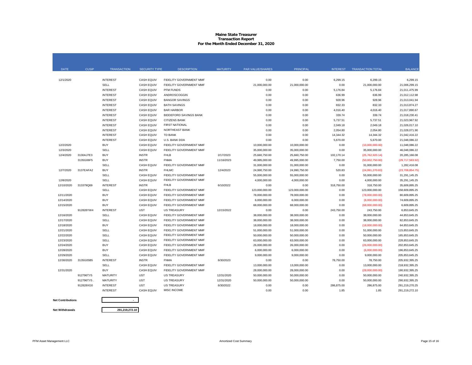# **Maine State TreasurerTransaction Report For the Month Ended December 31, 2020**

| <b>DATE</b> | <b>CUSIP</b> | <b>TRANSACTION</b> | <b>SECURITY TYPE</b> | <b>DESCRIPTION</b>             | <b>MATURITY</b> | <b>PAR VALUE/SHARES</b> | <b>PRINCIPAL</b> | <b>INTEREST</b> | <b>TRANSACTION TOTAL</b> | <b>BALANCE</b>    |
|-------------|--------------|--------------------|----------------------|--------------------------------|-----------------|-------------------------|------------------|-----------------|--------------------------|-------------------|
|             |              |                    |                      |                                |                 |                         |                  |                 |                          |                   |
| 12/1/2020   |              | <b>INTEREST</b>    | CASH EQUIV           | FIDELITY GOVERNMENT MMF        |                 | 0.00                    | 0.00             | 6,299.15        | 6,299.15                 | 6,299.15          |
|             |              | SELL               | <b>CASH EQUIV</b>    | FIDELITY GOVERNMENT MMF        |                 | 21,000,000.00           | 21,000,000.00    | 0.00            | 21,000,000.00            | 21.006.299.15     |
|             |              | <b>INTEREST</b>    | CASH EQUIV           | PFM FUNDS                      |                 | 0.00                    | 0.00             | 5,176.84        | 5,176.84                 | 21,011,475.99     |
|             |              | <b>INTEREST</b>    | CASH EQUIV           | ANDROSCOGGIN                   |                 | 0.00                    | 0.00             | 636.99          | 636.99                   | 21,012,112.98     |
|             |              | <b>INTEREST</b>    | <b>CASH EQUIV</b>    | <b>BANGOR SAVINGS</b>          |                 | 0.00                    | 0.00             | 928.96          | 928.96                   | 21,013,041.94     |
|             |              | <b>INTEREST</b>    | CASH EQUIV           | <b>BATH SAVINGS</b>            |                 | 0.00                    | 0.00             | 832.33          | 832.33                   | 21,013,874.27     |
|             |              | <b>INTEREST</b>    | <b>CASH EQUIV</b>    | <b>BAR HARBOR</b>              |                 | 0.00                    | 0.00             | 4,016.40        | 4,016.40                 | 21,017,890.67     |
|             |              | <b>INTEREST</b>    | <b>CASH EQUIV</b>    | <b>BIDDEFORD SAVINGS BANK</b>  |                 | 0.00                    | 0.00             | 339.74          | 339.74                   | 21,018,230.41     |
|             |              | <b>INTEREST</b>    | <b>CASH EQUIV</b>    | <b>CITIZENS BANK</b>           |                 | 0.00                    | 0.00             | 5,737.51        | 5,737.51                 | 21,023,967.92     |
|             |              | <b>INTEREST</b>    | <b>CASH EQUIV</b>    | <b>FIRST NATIONAL</b>          |                 | 0.00                    | 0.00             | 2,049.18        | 2,049.18                 | 21.026.017.10     |
|             |              | <b>INTEREST</b>    | <b>CASH EQUIV</b>    | <b>NORTHEAST BANK</b>          |                 | 0.00                    | 0.00             | 2,054.80        | 2,054.80                 | 21,028,071.90     |
|             |              | <b>INTEREST</b>    | <b>CASH EQUIV</b>    | TD BANK                        |                 | 0.00                    | 0.00             | 14,344.32       | 14,344.32                | 21,042,416.22     |
|             |              | <b>INTEREST</b>    | <b>CASH EQUIV</b>    | U.S. BANK DDA                  |                 | 0.00                    | 0.00             | 5,670.00        | 5,670.00                 | 21,048,086.22     |
| 12/2/2020   |              | <b>BUY</b>         | <b>CASH EQUIV</b>    | FIDELITY GOVERNMENT MMF        |                 | 10,000,000.00           | 10,000,000.00    | 0.00            | (10,000,000.00)          | 11,048,086.22     |
| 12/3/2020   |              | SELL               | <b>CASH EQUIV</b>    | FIDELITY GOVERNMENT MMF        |                 | 35,000,000.00           | 35,000,000.00    | 0.00            | 35,000,000.00            | 46,048,086.22     |
| 12/4/2020   | 3130AJ7E3    | <b>BUY</b>         | <b>INSTR</b>         | <b>FHLB</b>                    | 2/17/2023       | 25,660,750.00           | 25,660,750.00    | 102,170.14      | (25,762,920.14)          | 20,285,166.08     |
|             | 3135G06F5    | <b>BUY</b>         | <b>INSTR</b>         | <b>FNMA</b>                    | 11/16/2023      | 49,995,000.00           | 49,995,000.00    | 7,750.00        | (50,002,750.00)          | (29, 717, 583.92) |
|             |              | SELL               | <b>CASH EQUIV</b>    | FIDELITY GOVERNMENT MMF        |                 | 31,000,000.00           | 31,000,000.00    | 0.00            | 31,000,000.00            | 1.282.416.08      |
| 12/7/2020   | 3137EAFA2    | <b>BUY</b>         | <b>INSTR</b>         | <b>FHLMC</b>                   | 12/4/2023       | 24,990,750.00           | 24,990,750.00    | 520.83          | (24,991,270.83)          | (23,708,854.75)   |
|             |              | SELL               | <b>CASH EQUIV</b>    | FIDELITY GOVERNMENT MMF        |                 | 55,000,000.00           | 55,000,000.00    | 0.00            | 55,000,000.00            | 31.291.145.25     |
| 12/8/2020   |              | SELL               | <b>CASH EQUIV</b>    | FIDELITY GOVERNMENT MMF        |                 | 4,000,000.00            | 4,000,000.00     | 0.00            | 4,000,000.00             | 35,291,145.25     |
| 12/10/2020  | 313379Q69    | <b>INTEREST</b>    | <b>INSTR</b>         | <b>FHLB</b>                    | 6/10/2022       | 0.00                    | 0.00             | 318,750.00      | 318,750.00               | 35,609,895.25     |
|             |              | SELL               | <b>CASH EQUIV</b>    | FIDELITY GOVERNMENT MMF        |                 | 123,000,000.00          | 123,000,000.00   | 0.00            | 123,000,000.00           | 158,609,895.25    |
| 12/11/2020  |              | <b>BUY</b>         | <b>CASH EQUIV</b>    | <b>FIDELITY GOVERNMENT MMF</b> |                 | 78,000,000.00           | 78,000,000.00    | 0.00            | (78,000,000.00)          | 80,609,895.25     |
| 12/14/2020  |              | <b>BUY</b>         | <b>CASH EQUIV</b>    | FIDELITY GOVERNMENT MMF        |                 | 6,000,000.00            | 6,000,000.00     | 0.00            | (6,000,000.00)           | 74,609,895.25     |
| 12/15/2020  |              | <b>BUY</b>         | <b>CASH EQUIV</b>    | FIDELITY GOVERNMENT MMF        |                 | 68,000,000.00           | 68,000,000.00    | 0.00            | (68,000,000.00)          | 6,609,895.25      |
|             | 912828YW4    | <b>INTEREST</b>    | <b>UST</b>           | <b>US TREASURY</b>             | 12/15/2022      | 0.00                    | 0.00             | 243,750.00      | 243,750.00               | 6.853.645.25      |
| 12/16/2020  |              | SELL               | <b>CASH EQUIV</b>    | FIDELITY GOVERNMENT MMF        |                 | 38,000,000.00           | 38,000,000.00    | 0.00            | 38,000,000,00            | 44.853.645.25     |
| 12/17/2020  |              | SELL               | <b>CASH EQUIV</b>    | FIDELITY GOVERNMENT MMF        |                 | 38,000,000.00           | 38,000,000.00    | 0.00            | 38,000,000.00            | 82,853,645.25     |
| 12/18/2020  |              | <b>BUY</b>         | <b>CASH EQUIV</b>    | FIDELITY GOVERNMENT MMF        |                 | 18,000,000.00           | 18,000,000.00    | 0.00            | (18,000,000.00)          | 64,853,645.25     |
| 12/21/2020  |              | SELL               | <b>CASH EQUIV</b>    | FIDELITY GOVERNMENT MMF        |                 | 51,000,000.00           | 51,000,000.00    | 0.00            | 51,000,000.00            | 115,853,645.25    |
| 12/22/2020  |              | SELL               | CASH EQUIV           | FIDELITY GOVERNMENT MMF        |                 | 50,000,000.00           | 50,000,000.00    | 0.00            | 50,000,000.00            | 165,853,645.25    |
| 12/23/2020  |              | SELL               | CASH EQUIV           | FIDELITY GOVERNMENT MMF        |                 | 63,000,000.00           | 63,000,000.00    | 0.00            | 63,000,000.00            | 228,853,645.25    |
| 12/24/2020  |              | <b>BUY</b>         | <b>CASH EQUIV</b>    | FIDELITY GOVERNMENT MMF        |                 | 26,000,000.00           | 26,000,000.00    | 0.00            | (26,000,000.00)          | 202,853,645.25    |
| 12/28/2020  |              | <b>BUY</b>         | CASH EQUIV           | FIDELITY GOVERNMENT MMF        |                 | 6,000,000.00            | 6,000,000.00     | 0.00            | (6,000,000.00)           | 196,853,645.25    |
| 12/29/2020  |              | SELL               | <b>CASH EQUIV</b>    | <b>FIDELITY GOVERNMENT MMF</b> |                 | 9,000,000.00            | 9,000,000.00     | 0.00            | 9,000,000.00             | 205.853.645.25    |
| 12/30/2020  | 3135G05B5    | <b>INTEREST</b>    | <b>INSTR</b>         | <b>FNMA</b>                    | 6/30/2023       | 0.00                    | 0.00             | 78,750.00       | 78,750.00                | 205.932.395.25    |
|             |              | SELL               | CASH EQUIV           | FIDELITY GOVERNMENT MMF        |                 | 13,000,000.00           | 13,000,000.00    | 0.00            | 13,000,000.00            | 218,932,395.25    |
| 12/31/2020  |              | <b>BUY</b>         | <b>CASH EQUIV</b>    | FIDELITY GOVERNMENT MMF        |                 | 28,000,000.00           | 28,000,000.00    | 0.00            | (28,000,000.00)          | 190,932,395.25    |
|             | 912796TY5    | <b>MATURITY</b>    | <b>UST</b>           | <b>US TREASURY</b>             | 12/31/2020      | 50,000,000.00           | 50,000,000.00    | 0.00            | 50,000,000.00            | 240,932,395.25    |
|             | 912796TY5    | MATURITY           | <b>UST</b>           | <b>US TREASURY</b>             | 12/31/2020      | 50,000,000.00           | 50,000,000.00    | 0.00            | 50,000,000.00            | 290,932,395.25    |
|             | 912828XG0    | <b>INTEREST</b>    | <b>UST</b>           | <b>US TREASURY</b>             | 6/30/2022       | 0.00                    | 0.00             | 286,875.00      | 286,875.00               | 291.219.270.25    |
|             |              | <b>INTEREST</b>    | <b>CASH EQUIV</b>    | <b>MISC INCOME</b>             |                 | 0.00                    | 0.00             | 1.85            | 1.85                     | 291.219.272.10    |
|             |              |                    |                      |                                |                 |                         |                  |                 |                          |                   |

#### **Net Contributions**

**Net Withdrawals**

**291,219,272.10**

**-**